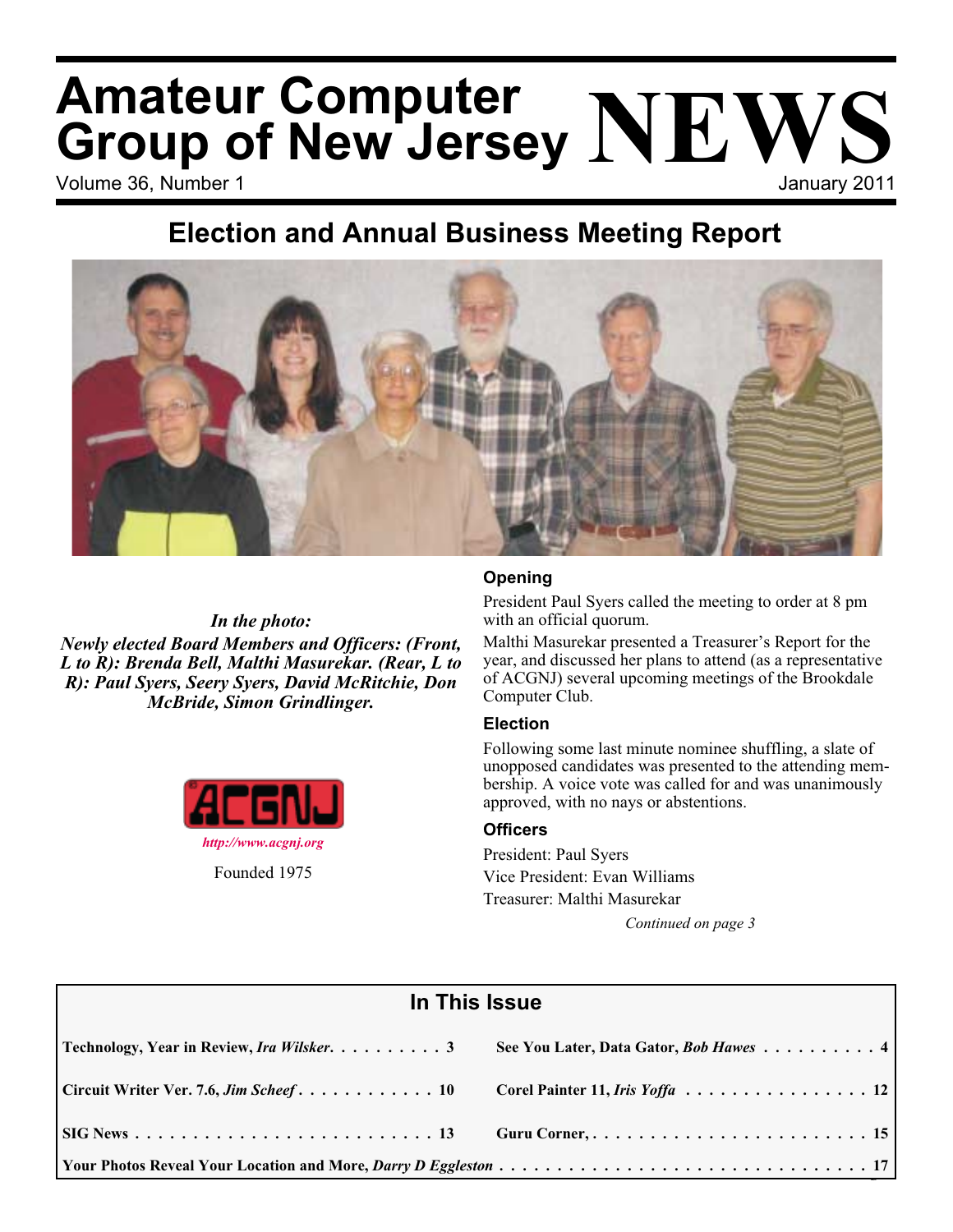# Volume 36, Number 1 January 2011 **Amateur Computer Group of New Jersey NEWS**

## **Election and Annual Business Meeting Report**



*In the photo: Newly elected Board Members and Officers: (Front, L to R): Brenda Bell, Malthi Masurekar. (Rear, L to R): Paul Syers, Seery Syers, David McRitchie, Don McBride, Simon Grindlinger.*



### **Opening**

President Paul Syers called the meeting to order at 8 pm with an official quorum.

Malthi Masurekar presented a Treasurer's Report for the year, and discussed her plans to attend (as a representative of ACGNJ) several upcoming meetings of the Brookdale Computer Club.

### **Election**

Following some last minute nominee shuffling, a slate of unopposed candidates was presented to the attending membership. A voice vote was called for and was unanimously approved, with no nays or abstentions.

### **Officers**

President: Paul Syers Vice President: Evan Williams Treasurer: Malthi Masurekar

| In This Issue                              |                                        |  |  |  |
|--------------------------------------------|----------------------------------------|--|--|--|
| Technology, Year in Review, Ira Wilsker. 3 | See You Later, Data Gator, Bob Hawes 4 |  |  |  |
| Circuit Writer Ver. 7.6, Jim Scheef 10     | Corel Painter 11, Iris Yoffa 12        |  |  |  |
|                                            |                                        |  |  |  |
|                                            |                                        |  |  |  |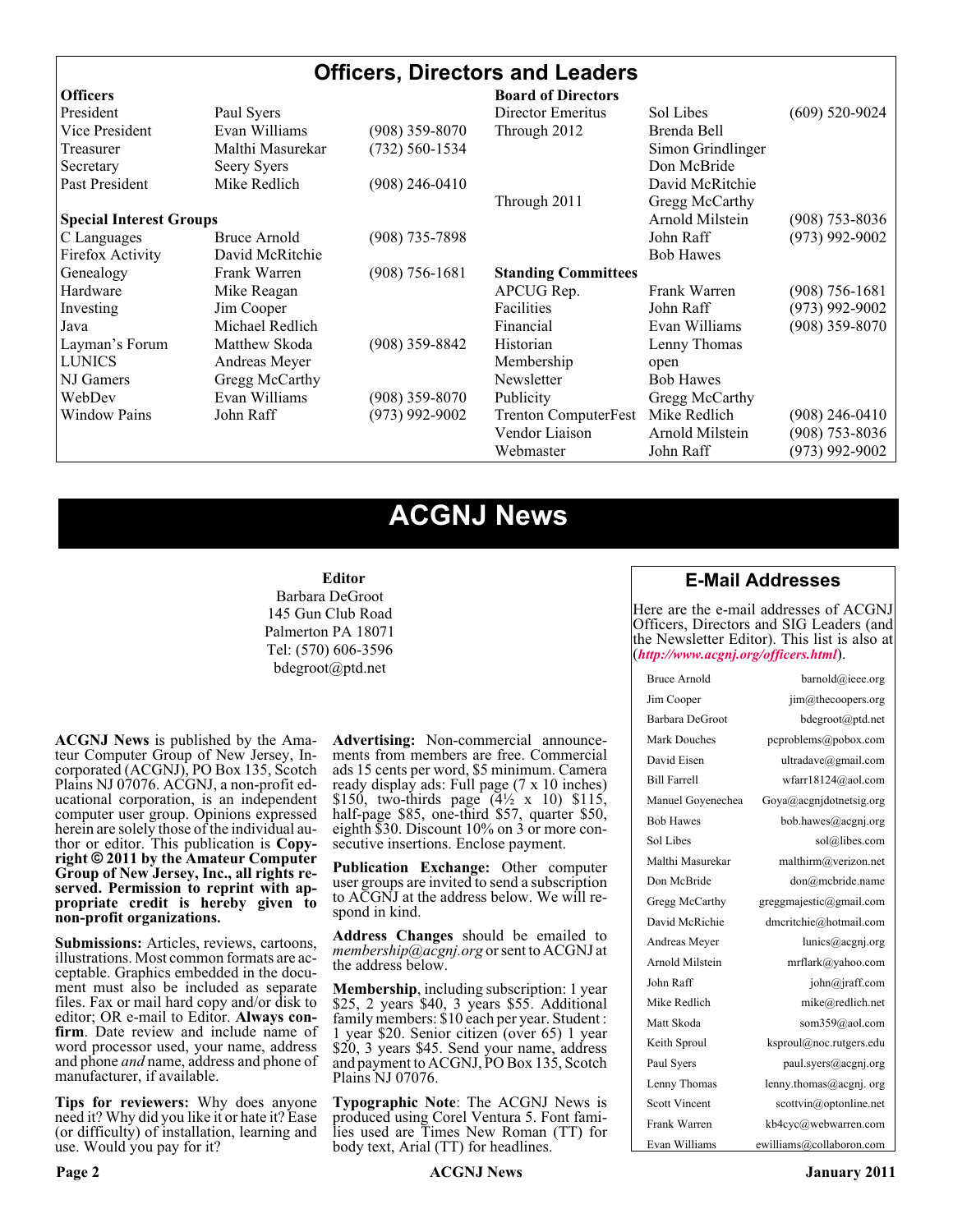### **Officers, Directors and Leaders**

| <b>Officers</b>                |                     |                  | <b>Board of Directors</b>   |                   |                    |
|--------------------------------|---------------------|------------------|-----------------------------|-------------------|--------------------|
| President                      | Paul Syers          |                  | Director Emeritus           | Sol Libes         | $(609)$ 520-9024   |
| Vice President                 | Evan Williams       | (908) 359-8070   | Through 2012                | Brenda Bell       |                    |
| Treasurer                      | Malthi Masurekar    | (732) 560-1534   |                             | Simon Grindlinger |                    |
| Secretary                      | Seery Syers         |                  |                             | Don McBride       |                    |
| Past President                 | Mike Redlich        | $(908)$ 246-0410 |                             | David McRitchie   |                    |
|                                |                     |                  | Through 2011                | Gregg McCarthy    |                    |
| <b>Special Interest Groups</b> |                     |                  |                             | Arnold Milstein   | $(908)$ 753-8036   |
| C Languages                    | <b>Bruce Arnold</b> | $(908)$ 735-7898 |                             | John Raff         | $(973)$ 992-9002   |
| Firefox Activity               | David McRitchie     |                  |                             | <b>Bob Hawes</b>  |                    |
| Genealogy                      | Frank Warren        | $(908)$ 756-1681 | <b>Standing Committees</b>  |                   |                    |
| Hardware                       | Mike Reagan         |                  | APCUG Rep.                  | Frank Warren      | $(908) 756 - 1681$ |
| Investing                      | Jim Cooper          |                  | Facilities                  | John Raff         | $(973)$ 992-9002   |
| Java                           | Michael Redlich     |                  | Financial                   | Evan Williams     | $(908)$ 359-8070   |
| Layman's Forum                 | Matthew Skoda       | $(908)$ 359-8842 | Historian                   | Lenny Thomas      |                    |
| <b>LUNICS</b>                  | Andreas Meyer       |                  | Membership                  | open              |                    |
| NJ Gamers                      | Gregg McCarthy      |                  | Newsletter                  | <b>Bob Hawes</b>  |                    |
| WebDev                         | Evan Williams       | $(908)$ 359-8070 | Publicity                   | Gregg McCarthy    |                    |
| <b>Window Pains</b>            | John Raff           | $(973)$ 992-9002 | <b>Trenton ComputerFest</b> | Mike Redlich      | $(908)$ 246-0410   |
|                                |                     |                  | Vendor Liaison              | Arnold Milstein   | $(908)$ 753-8036   |
|                                |                     |                  | Webmaster                   | John Raff         | $(973)$ 992-9002   |

### **ACGNJ News**

#### **Editor**

Barbara DeGroot 145 Gun Club Road Palmerton PA 18071 Tel: (570) 606-3596 bdegroot@ptd.net

**ACGNJ News** is published by the Ama- teur Computer Group of New Jersey, In- corporated (ACGNJ), PO Box 135, Scotch Plains NJ 07076. ACGNJ, a non-profit ed- ucational corporation, is an independent computer user group. Opinions expressed herein are solely those of the individual author or editor. This publication is **Copy-**<br>**right**  $\bigcirc$  2011 by the Amateur Computer<br>**Group of New Jersey, Inc., all rights re-Group of New Jersey, Inc., all rights re- served. Permission to reprint with ap- propriate credit is hereby given to non-profit organizations.**

**Submissions:** Articles, reviews, cartoons, illustrations. Most common formats are ac- ceptable. Graphics embedded in the docu- ment must also be included as separate files. Fax or mail hard copy and/or disk to editor; OR e-mail to Editor. Always confirm. Date review and include name of word processor used, your name, address and phone *and* name, address and phone of manufacturer, if available.

**Tips for reviewers:** Why does anyone need it? Why did you like it or hate it? Ease (or difficulty) of installation, learning and use. Would you pay for it?

**Advertising:** Non-commercial announce- ments from members are free. Commercial ads 15 cents per word, \$5 minimum. Camera ready display ads: Full page (7 x 10 inches) \$150, two-thirds page  $(4\frac{1}{2} \times 10)$  \$115, half-page \$85, one-third \$57, quarter \$50, eighth \$30. Discount 10% on 3 or more con- secutive insertions. Enclose payment.

**Publication Exchange:** Other computer user groups are invited to send a subscription to ACGNJ at the address below. We will re- spond in kind.

**Address Changes** should be emailed to *membership@acgnj.org* or sent to ACGNJ at the address below.

**Membership**, including subscription: 1 year \$25, 2 years \$40, 3 years \$55. Additional family members: \$10 each per year. Student : 1 year \$20. Senior citizen (over 65) 1 year \$20, 3 years \$45. Send your name, address and payment to ACGNJ, PO Box 135, Scotch Plains NJ 07076.

**Typographic Note**: The ACGNJ News is produced using Corel Ventura 5. Font fami- lies used are Times New Roman (TT) for body text, Arial (TT) for headlines.

### **E-Mail Addresses**

Here are the e-mail addresses of ACGNJ Officers, Directors and SIG Leaders (and the Newsletter Editor). This list is also at (*<http://www.acgnj.org/officers.html>*).

| Bruce Arnold         | barnold@ieee.org         |
|----------------------|--------------------------|
| Jim Cooper           | jim@thecoopers.org       |
| Barbara DeGroot      | bdegroot@ptd.net         |
| Mark Douches         | pcproblems@pobox.com     |
| David Eisen          | ultradave@gmail.com      |
| <b>Bill Farrell</b>  | wfarr18124@aol.com       |
| Manuel Goyenechea    | Goya@acgnidotnetsig.org  |
| <b>Bob Hawes</b>     | bob.hawes@acgnj.org      |
| Sol Libes            | sol@libes.com            |
| Malthi Masurekar     | malthirm@verizon.net     |
| Don McBride          | don@mcbride.name         |
| Gregg McCarthy       | greggmajestic@gmail.com  |
| David McRichie       | dmcritchie@hotmail.com   |
| Andreas Meyer        | lunics@acgnj.org         |
| Arnold Milstein      | mrflark@yahoo.com        |
| John Raff            | john@jraff.com           |
| Mike Redlich         | mike@redlich.net         |
| Matt Skoda           | som359@aol.com           |
| Keith Sproul         | ksproul@noc.rutgers.edu  |
| Paul Syers           | paul.syers@acgnj.org     |
| Lenny Thomas         | lenny.thomas@acgnj.org   |
| <b>Scott Vincent</b> | scottvin@optonline.net   |
| Frank Warren         | kb4cyc@webwarren.com     |
| Evan Williams        | ewilliams@collaboron.com |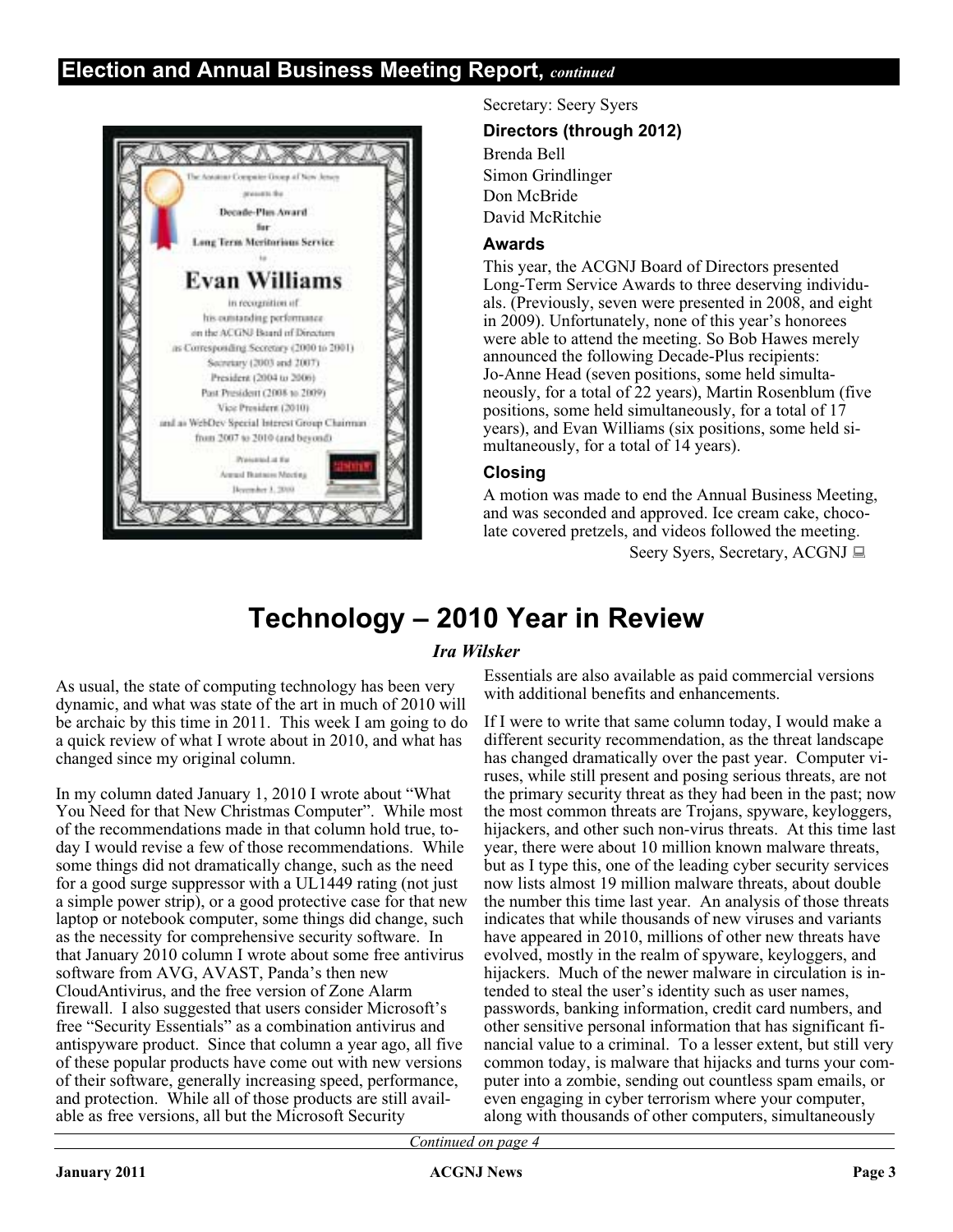### **Election and Annual Business Meeting Report,** *continued*



Secretary: Seery Syers

#### **Directors (through 2012)**

Brenda Bell Simon Grindlinger Don McBride David McRitchie

#### **Awards**

This year, the ACGNJ Board of Directors presented Long-Term Service Awards to three deserving individuals. (Previously, seven were presented in 2008, and eight in 2009). Unfortunately, none of this year's honorees were able to attend the meeting. So Bob Hawes merely announced the following Decade-Plus recipients: Jo-Anne Head (seven positions, some held simultaneously, for a total of 22 years), Martin Rosenblum (five positions, some held simultaneously, for a total of 17 years), and Evan Williams (six positions, some held simultaneously, for a total of 14 years).

### **Closing**

A motion was made to end the Annual Business Meeting, and was seconded and approved. Ice cream cake, chocolate covered pretzels, and videos followed the meeting.

Seery Syers, Secretary, ACGNJ

### **Technology – 2010 Year in Review**

### *Ira Wilsker*

As usual, the state of computing technology has been very dynamic, and what was state of the art in much of 2010 will be archaic by this time in 2011. This week I am going to do a quick review of what I wrote about in 2010, and what has changed since my original column.

In my column dated January 1, 2010 I wrote about "What You Need for that New Christmas Computer". While most of the recommendations made in that column hold true, today I would revise a few of those recommendations. While some things did not dramatically change, such as the need for a good surge suppressor with a UL1449 rating (not just a simple power strip), or a good protective case for that new laptop or notebook computer, some things did change, such as the necessity for comprehensive security software. In that January 2010 column I wrote about some free antivirus software from AVG, AVAST, Panda's then new CloudAntivirus, and the free version of Zone Alarm firewall. I also suggested that users consider Microsoft's free "Security Essentials" as a combination antivirus and antispyware product. Since that column a year ago, all five of these popular products have come out with new versions of their software, generally increasing speed, performance, and protection. While all of those products are still available as free versions, all but the Microsoft Security

Essentials are also available as paid commercial versions with additional benefits and enhancements.

If I were to write that same column today, I would make a different security recommendation, as the threat landscape has changed dramatically over the past year. Computer viruses, while still present and posing serious threats, are not the primary security threat as they had been in the past; now the most common threats are Trojans, spyware, keyloggers, hijackers, and other such non-virus threats. At this time last year, there were about 10 million known malware threats, but as I type this, one of the leading cyber security services now lists almost 19 million malware threats, about double the number this time last year. An analysis of those threats indicates that while thousands of new viruses and variants have appeared in 2010, millions of other new threats have evolved, mostly in the realm of spyware, keyloggers, and hijackers. Much of the newer malware in circulation is intended to steal the user's identity such as user names, passwords, banking information, credit card numbers, and other sensitive personal information that has significant financial value to a criminal. To a lesser extent, but still very common today, is malware that hijacks and turns your computer into a zombie, sending out countless spam emails, or even engaging in cyber terrorism where your computer, along with thousands of other computers, simultaneously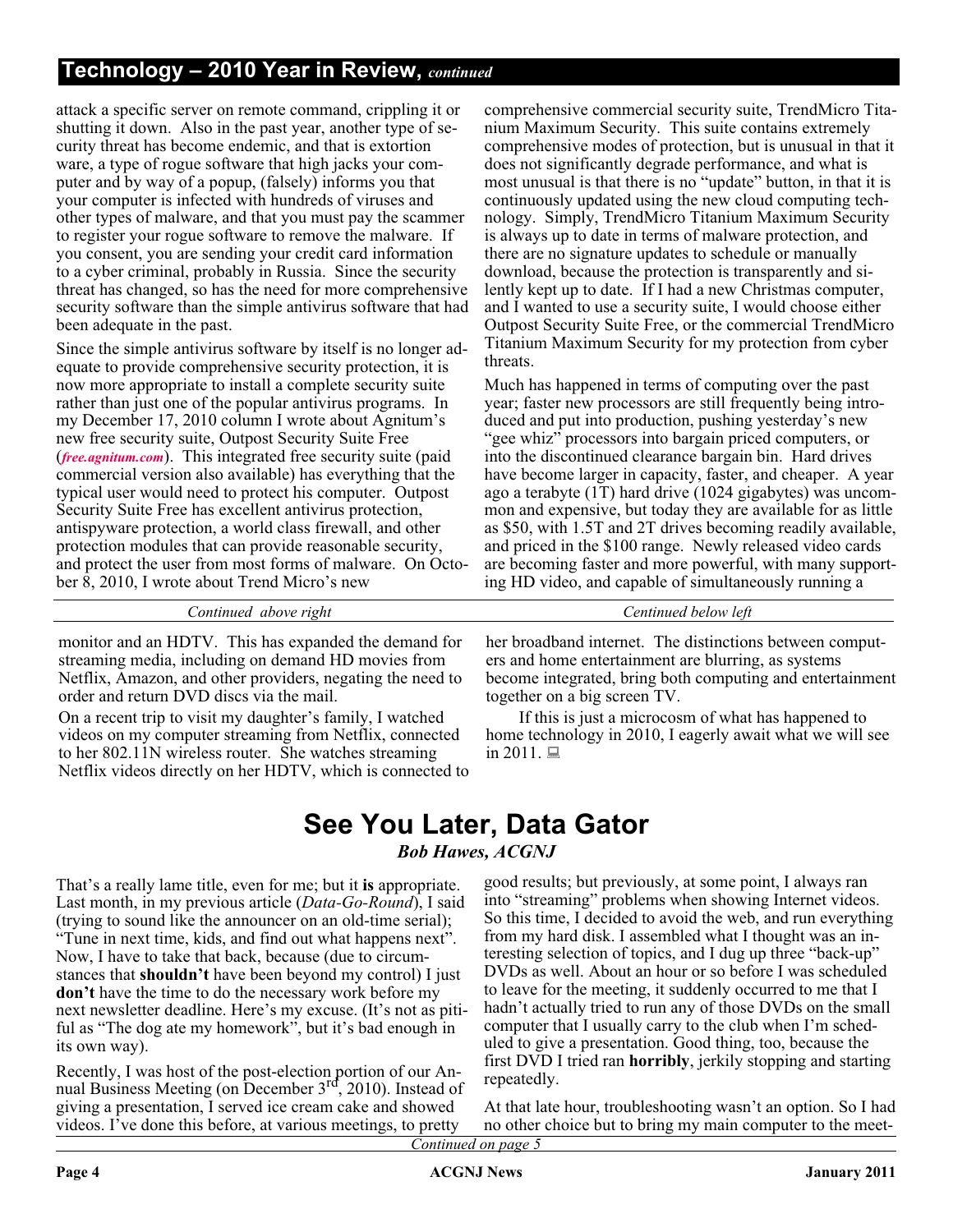### **Technology – 2010 Year in Review,** *continued*

attack a specific server on remote command, crippling it or shutting it down. Also in the past year, another type of security threat has become endemic, and that is extortion ware, a type of rogue software that high jacks your computer and by way of a popup, (falsely) informs you that your computer is infected with hundreds of viruses and other types of malware, and that you must pay the scammer to register your rogue software to remove the malware. If you consent, you are sending your credit card information to a cyber criminal, probably in Russia. Since the security threat has changed, so has the need for more comprehensive security software than the simple antivirus software that had been adequate in the past.

Since the simple antivirus software by itself is no longer adequate to provide comprehensive security protection, it is now more appropriate to install a complete security suite rather than just one of the popular antivirus programs. In my December 17, 2010 column I wrote about Agnitum's new free security suite, Outpost Security Suite Free (*[free.agnitum.com](http://free.agnitum.com)*). This integrated free security suite (paid commercial version also available) has everything that the typical user would need to protect his computer. Outpost Security Suite Free has excellent antivirus protection, antispyware protection, a world class firewall, and other protection modules that can provide reasonable security, and protect the user from most forms of malware. On October 8, 2010, I wrote about Trend Micro's new

comprehensive commercial security suite, TrendMicro Titanium Maximum Security. This suite contains extremely comprehensive modes of protection, but is unusual in that it does not significantly degrade performance, and what is most unusual is that there is no "update" button, in that it is continuously updated using the new cloud computing technology. Simply, TrendMicro Titanium Maximum Security is always up to date in terms of malware protection, and there are no signature updates to schedule or manually download, because the protection is transparently and silently kept up to date. If I had a new Christmas computer, and I wanted to use a security suite, I would choose either Outpost Security Suite Free, or the commercial TrendMicro Titanium Maximum Security for my protection from cyber threats.

Much has happened in terms of computing over the past year; faster new processors are still frequently being introduced and put into production, pushing yesterday's new "gee whiz" processors into bargain priced computers, or into the discontinued clearance bargain bin. Hard drives have become larger in capacity, faster, and cheaper. A year ago a terabyte (1T) hard drive (1024 gigabytes) was uncommon and expensive, but today they are available for as little as \$50, with 1.5T and 2T drives becoming readily available, and priced in the \$100 range. Newly released video cards are becoming faster and more powerful, with many supporting HD video, and capable of simultaneously running a

*Continued above right Centinued below left*

monitor and an HDTV. This has expanded the demand for streaming media, including on demand HD movies from Netflix, Amazon, and other providers, negating the need to order and return DVD discs via the mail.

On a recent trip to visit my daughter's family, I watched videos on my computer streaming from Netflix, connected to her 802.11N wireless router. She watches streaming Netflix videos directly on her HDTV, which is connected to her broadband internet. The distinctions between computers and home entertainment are blurring, as systems become integrated, bring both computing and entertainment together on a big screen TV.

If this is just a microcosm of what has happened to home technology in 2010, I eagerly await what we will see in 2011.  $\Box$ 

### **See You Later, Data Gator** *Bob Hawes, ACGNJ*

That's a really lame title, even for me; but it **is** appropriate. Last month, in my previous article (*Data-Go-Round*), I said (trying to sound like the announcer on an old-time serial); "Tune in next time, kids, and find out what happens next". Now, I have to take that back, because (due to circumstances that **shouldn't** have been beyond my control) I just **don't** have the time to do the necessary work before my next newsletter deadline. Here's my excuse. (It's not as pitiful as "The dog ate my homework", but it's bad enough in its own way).

Recently, I was host of the post-election portion of our Annual Business Meeting (on December  $3<sup>rd</sup>$ , 2010). Instead of giving a presentation, I served ice cream cake and showed videos. I've done this before, at various meetings, to pretty

good results; but previously, at some point, I always ran into "streaming" problems when showing Internet videos. So this time, I decided to avoid the web, and run everything from my hard disk. I assembled what I thought was an interesting selection of topics, and I dug up three "back-up" DVDs as well. About an hour or so before I was scheduled to leave for the meeting, it suddenly occurred to me that I hadn't actually tried to run any of those DVDs on the small computer that I usually carry to the club when I'm scheduled to give a presentation. Good thing, too, because the first DVD I tried ran **horribly**, jerkily stopping and starting repeatedly.

At that late hour, troubleshooting wasn't an option. So I had no other choice but to bring my main computer to the meet-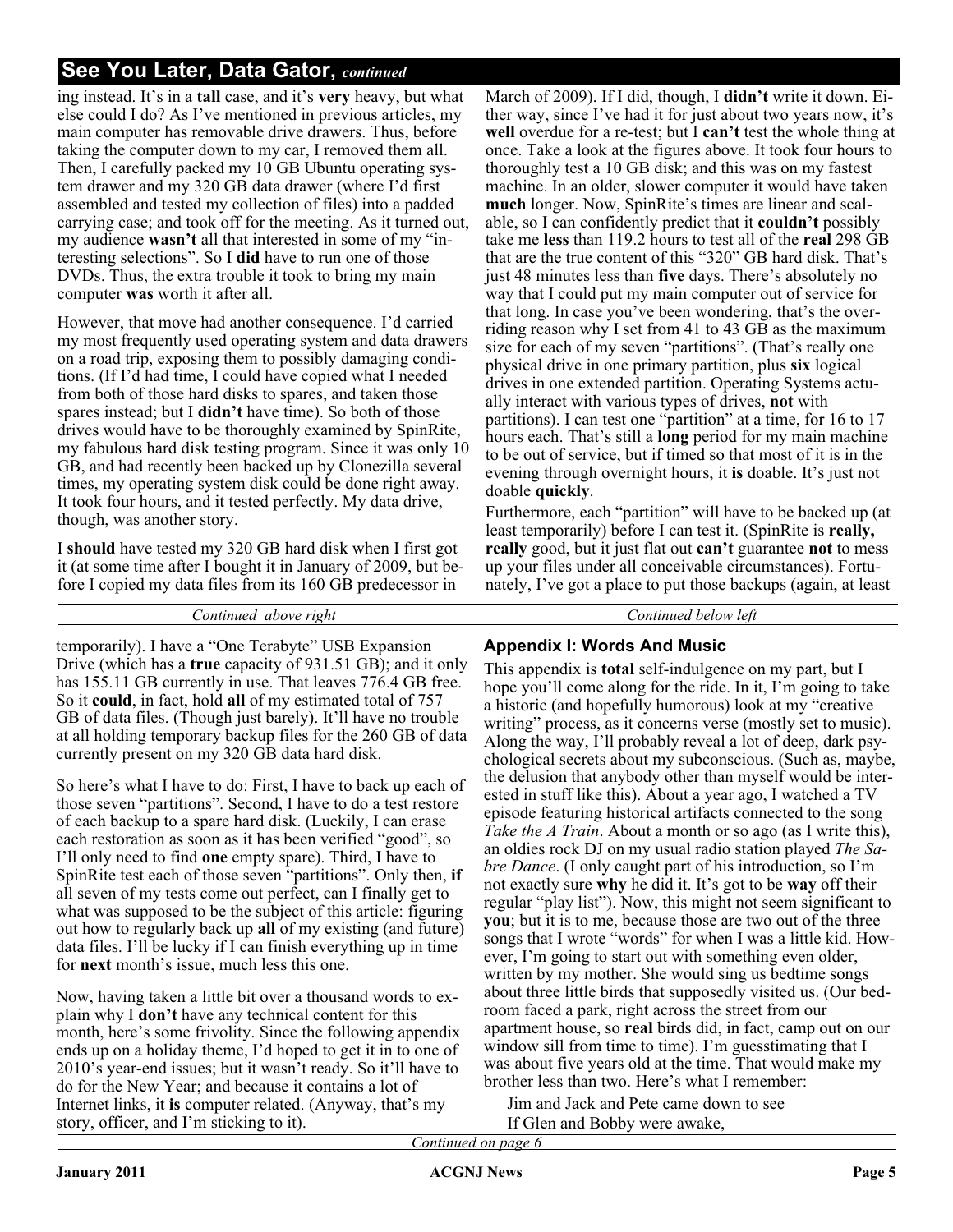ing instead. It's in a **tall** case, and it's **very** heavy, but what else could I do? As I've mentioned in previous articles, my main computer has removable drive drawers. Thus, before taking the computer down to my car, I removed them all. Then, I carefully packed my 10 GB Ubuntu operating system drawer and my 320 GB data drawer (where I'd first assembled and tested my collection of files) into a padded carrying case; and took off for the meeting. As it turned out, my audience **wasn't** all that interested in some of my "interesting selections". So I **did** have to run one of those DVDs. Thus, the extra trouble it took to bring my main computer **was** worth it after all.

However, that move had another consequence. I'd carried my most frequently used operating system and data drawers on a road trip, exposing them to possibly damaging conditions. (If I'd had time, I could have copied what I needed from both of those hard disks to spares, and taken those spares instead; but I **didn't** have time). So both of those drives would have to be thoroughly examined by SpinRite, my fabulous hard disk testing program. Since it was only 10 GB, and had recently been backed up by Clonezilla several times, my operating system disk could be done right away. It took four hours, and it tested perfectly. My data drive, though, was another story.

I **should** have tested my 320 GB hard disk when I first got it (at some time after I bought it in January of 2009, but before I copied my data files from its 160 GB predecessor in

*Continued above right Continued below left*

temporarily). I have a "One Terabyte" USB Expansion Drive (which has a **true** capacity of 931.51 GB); and it only has 155.11 GB currently in use. That leaves 776.4 GB free. So it **could**, in fact, hold **all** of my estimated total of 757 GB of data files. (Though just barely). It'll have no trouble at all holding temporary backup files for the 260 GB of data currently present on my 320 GB data hard disk.

So here's what I have to do: First, I have to back up each of those seven "partitions". Second, I have to do a test restore of each backup to a spare hard disk. (Luckily, I can erase each restoration as soon as it has been verified "good", so I'll only need to find **one** empty spare). Third, I have to SpinRite test each of those seven "partitions". Only then, **if** all seven of my tests come out perfect, can I finally get to what was supposed to be the subject of this article: figuring out how to regularly back up **all** of my existing (and future) data files. I'll be lucky if I can finish everything up in time for **next** month's issue, much less this one.

Now, having taken a little bit over a thousand words to explain why I **don't** have any technical content for this month, here's some frivolity. Since the following appendix ends up on a holiday theme, I'd hoped to get it in to one of 2010's year-end issues; but it wasn't ready. So it'll have to do for the New Year; and because it contains a lot of Internet links, it **is** computer related. (Anyway, that's my story, officer, and I'm sticking to it).

March of 2009). If I did, though, I **didn't** write it down. Either way, since I've had it for just about two years now, it's **well** overdue for a re-test; but I **can't** test the whole thing at once. Take a look at the figures above. It took four hours to thoroughly test a 10 GB disk; and this was on my fastest machine. In an older, slower computer it would have taken **much** longer. Now, SpinRite's times are linear and scalable, so I can confidently predict that it **couldn't** possibly take me **less** than 119.2 hours to test all of the **real** 298 GB that are the true content of this "320" GB hard disk. That's just 48 minutes less than **five** days. There's absolutely no way that I could put my main computer out of service for that long. In case you've been wondering, that's the overriding reason why I set from 41 to 43 GB as the maximum size for each of my seven "partitions". (That's really one physical drive in one primary partition, plus **six** logical drives in one extended partition. Operating Systems actually interact with various types of drives, **not** with partitions). I can test one "partition" at a time, for 16 to 17 hours each. That's still a **long** period for my main machine to be out of service, but if timed so that most of it is in the evening through overnight hours, it **is** doable. It's just not doable **quickly**.

Furthermore, each "partition" will have to be backed up (at least temporarily) before I can test it. (SpinRite is **really, really** good, but it just flat out **can't** guarantee **not** to mess up your files under all conceivable circumstances). Fortunately, I've got a place to put those backups (again, at least

### **Appendix I: Words And Music**

This appendix is **total** self-indulgence on my part, but I hope you'll come along for the ride. In it, I'm going to take a historic (and hopefully humorous) look at my "creative writing" process, as it concerns verse (mostly set to music). Along the way, I'll probably reveal a lot of deep, dark psychological secrets about my subconscious. (Such as, maybe, the delusion that anybody other than myself would be interested in stuff like this). About a year ago, I watched a TV episode featuring historical artifacts connected to the song *Take the A Train.* About a month or so ago (as I write this), an oldies rock DJ on my usual radio station played *The Sabre Dance*. (I only caught part of his introduction, so I'm not exactly sure **why** he did it. It's got to be **way** off their regular "play list"). Now, this might not seem significant to **you**; but it is to me, because those are two out of the three songs that I wrote "words" for when I was a little kid. However, I'm going to start out with something even older, written by my mother. She would sing us bedtime songs about three little birds that supposedly visited us. (Our bedroom faced a park, right across the street from our apartment house, so **real** birds did, in fact, camp out on our window sill from time to time). I'm guesstimating that I was about five years old at the time. That would make my brother less than two. Here's what I remember:

Jim and Jack and Pete came down to see If Glen and Bobby were awake,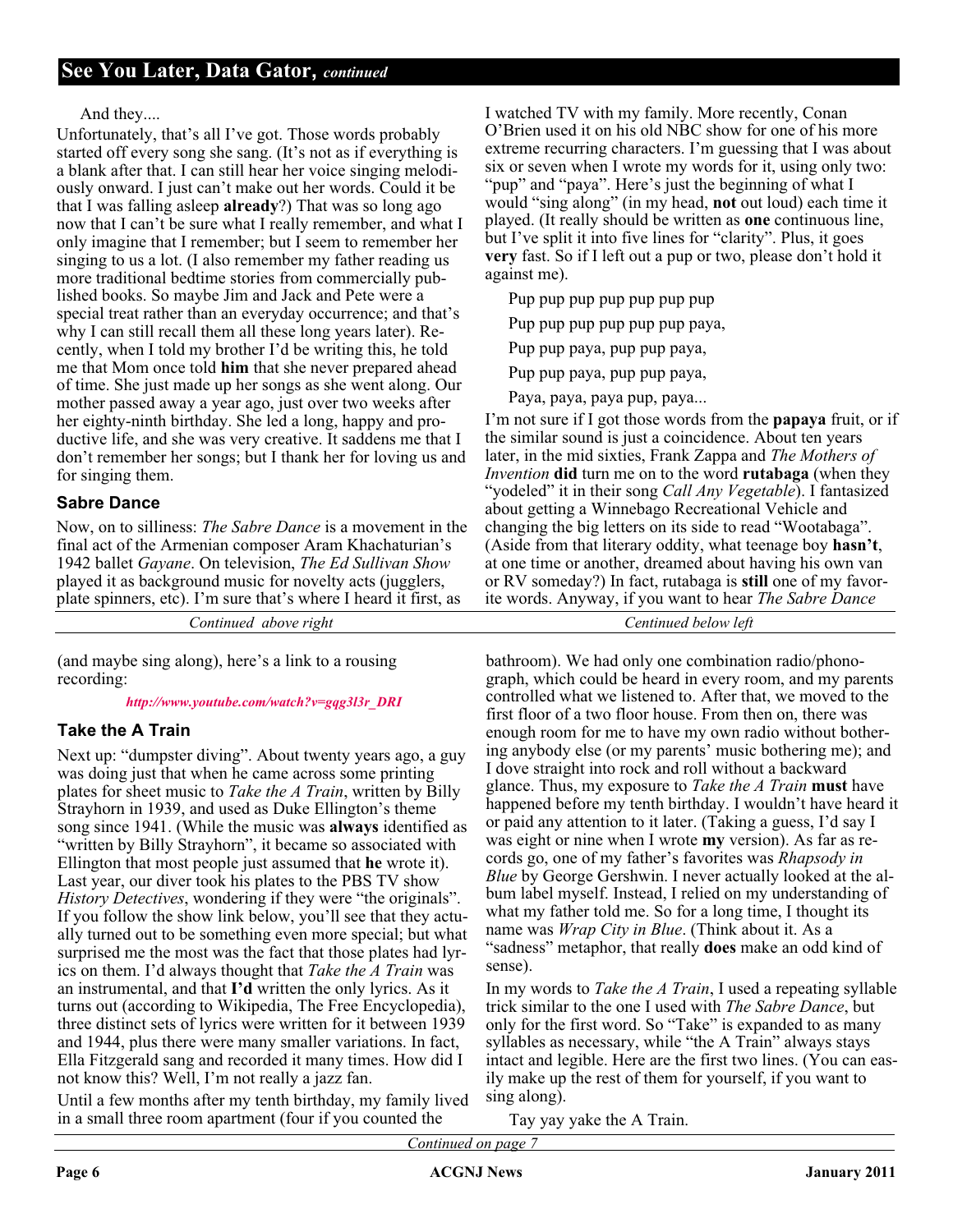### And they....

Unfortunately, that's all I've got. Those words probably started off every song she sang. (It's not as if everything is a blank after that. I can still hear her voice singing melodiously onward. I just can't make out her words. Could it be that I was falling asleep **already**?) That was so long ago now that I can't be sure what I really remember, and what I only imagine that I remember; but I seem to remember her singing to us a lot. (I also remember my father reading us more traditional bedtime stories from commercially published books. So maybe Jim and Jack and Pete were a special treat rather than an everyday occurrence; and that's why I can still recall them all these long years later). Recently, when I told my brother I'd be writing this, he told me that Mom once told **him** that she never prepared ahead of time. She just made up her songs as she went along. Our mother passed away a year ago, just over two weeks after her eighty-ninth birthday. She led a long, happy and productive life, and she was very creative. It saddens me that I don't remember her songs; but I thank her for loving us and for singing them.

### **Sabre Dance**

Now, on to silliness: *The Sabre Dance* is a movement in the final act of the Armenian composer Aram Khachaturian's 1942 ballet *Gayane*. On television, *The Ed Sullivan Show* played it as background music for novelty acts (jugglers, plate spinners, etc). I'm sure that's where I heard it first, as

*Continued above right Centinued below left*

(and maybe sing along), here's a link to a rousing recording:

*[http://www.youtube.com/watch?v=gqg3l3r\\_DRI](http://www.youtube.com/watch?v=gqg3l3r_DRI)*

### **Take the A Train**

Next up: "dumpster diving". About twenty years ago, a guy was doing just that when he came across some printing plates for sheet music to *Take the A Train*, written by Billy Strayhorn in 1939, and used as Duke Ellington's theme song since 1941. (While the music was **always** identified as "written by Billy Strayhorn", it became so associated with Ellington that most people just assumed that **he** wrote it). Last year, our diver took his plates to the PBS TV show *History Detectives*, wondering if they were "the originals". If you follow the show link below, you'll see that they actually turned out to be something even more special; but what surprised me the most was the fact that those plates had lyrics on them. I'd always thought that *Take the A Train* was an instrumental, and that **I'd** written the only lyrics. As it turns out (according to Wikipedia, The Free Encyclopedia), three distinct sets of lyrics were written for it between 1939 and 1944, plus there were many smaller variations. In fact, Ella Fitzgerald sang and recorded it many times. How did I not know this? Well, I'm not really a jazz fan.

Until a few months after my tenth birthday, my family lived in a small three room apartment (four if you counted the

I watched TV with my family. More recently, Conan O'Brien used it on his old NBC show for one of his more extreme recurring characters. I'm guessing that I was about six or seven when I wrote my words for it, using only two: "pup" and "paya". Here's just the beginning of what I would "sing along" (in my head, **not** out loud) each time it played. (It really should be written as **one** continuous line, but I've split it into five lines for "clarity". Plus, it goes **very** fast. So if I left out a pup or two, please don't hold it against me).

Pup pup pup pup pup pup pup

Pup pup pup pup pup pup paya,

Pup pup paya, pup pup paya,

Pup pup paya, pup pup paya,

Paya, paya, paya pup, paya...

I'm not sure if I got those words from the **papaya** fruit, or if the similar sound is just a coincidence. About ten years later, in the mid sixties, Frank Zappa and *The Mothers of Invention* **did** turn me on to the word **rutabaga** (when they "yodeled" it in their song *Call Any Vegetable*). I fantasized about getting a Winnebago Recreational Vehicle and changing the big letters on its side to read "Wootabaga". (Aside from that literary oddity, what teenage boy **hasn't**, at one time or another, dreamed about having his own van or RV someday?) In fact, rutabaga is **still** one of my favorite words. Anyway, if you want to hear *The Sabre Dance*

bathroom). We had only one combination radio/phonograph, which could be heard in every room, and my parents controlled what we listened to. After that, we moved to the first floor of a two floor house. From then on, there was enough room for me to have my own radio without bothering anybody else (or my parents' music bothering me); and I dove straight into rock and roll without a backward glance. Thus, my exposure to *Take the A Train* **must** have happened before my tenth birthday. I wouldn't have heard it or paid any attention to it later. (Taking a guess, I'd say I was eight or nine when I wrote **my** version). As far as records go, one of my father's favorites was *Rhapsody in Blue* by George Gershwin. I never actually looked at the album label myself. Instead, I relied on my understanding of what my father told me. So for a long time, I thought its name was *Wrap City in Blue*. (Think about it. As a "sadness" metaphor, that really **does** make an odd kind of sense).

In my words to *Take the A Train*, I used a repeating syllable trick similar to the one I used with *The Sabre Dance*, but only for the first word. So "Take" is expanded to as many syllables as necessary, while "the A Train" always stays intact and legible. Here are the first two lines. (You can easily make up the rest of them for yourself, if you want to sing along).

Tay yay yake the A Train.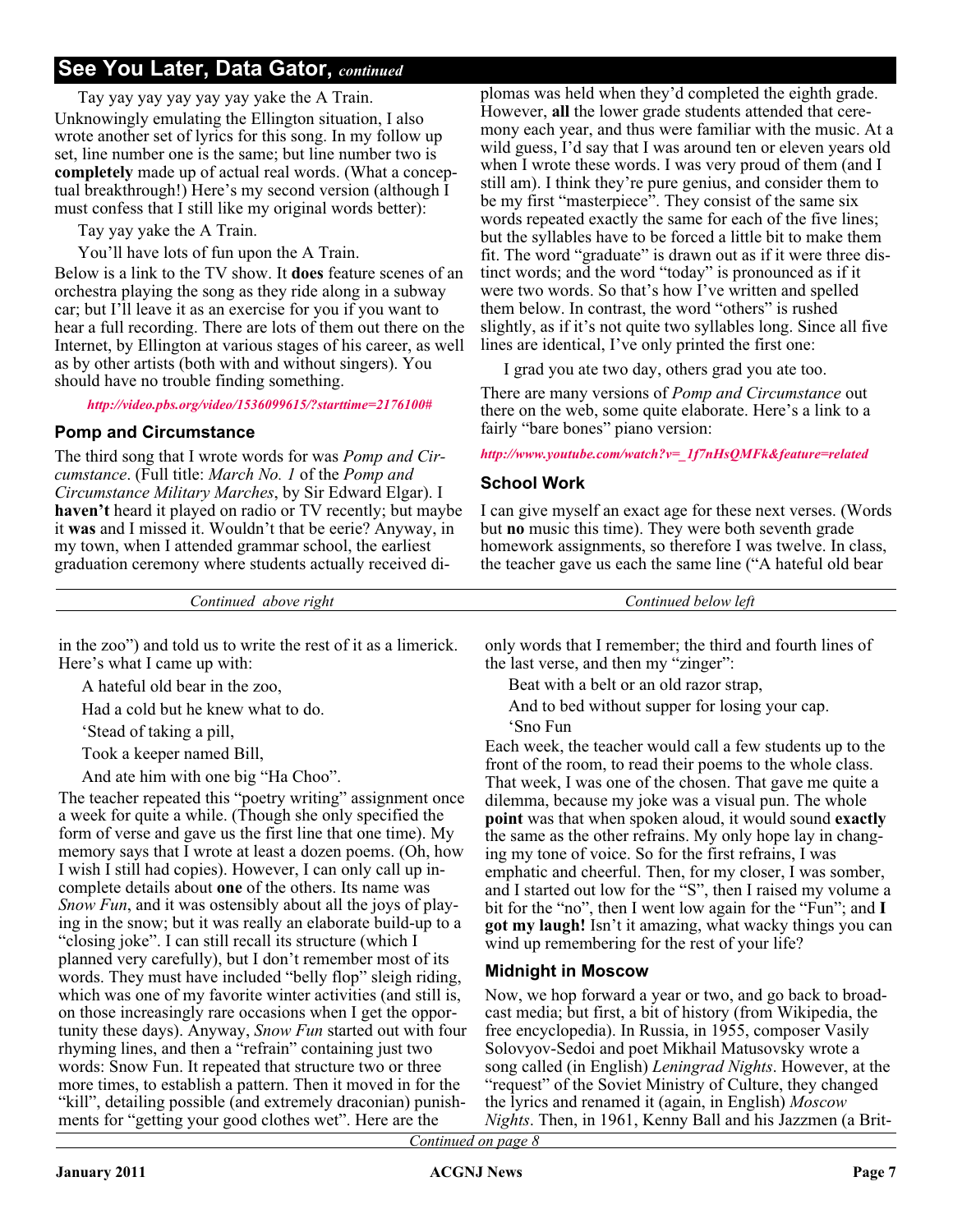Tay yay yay yay yay yay yake the A Train. Unknowingly emulating the Ellington situation, I also wrote another set of lyrics for this song. In my follow up set, line number one is the same; but line number two is **completely** made up of actual real words. (What a conceptual breakthrough!) Here's my second version (although I must confess that I still like my original words better):

Tay yay yake the A Train.

You'll have lots of fun upon the A Train.

Below is a link to the TV show. It **does** feature scenes of an orchestra playing the song as they ride along in a subway car; but I'll leave it as an exercise for you if you want to hear a full recording. There are lots of them out there on the Internet, by Ellington at various stages of his career, as well as by other artists (both with and without singers). You should have no trouble finding something.

*<http://video.pbs.org/video/1536099615/?starttime=2176100#>*

### **Pomp and Circumstance**

The third song that I wrote words for was *Pomp and Circumstance*. (Full title: *March No. 1* of the *Pomp and Circumstance Military Marches*, by Sir Edward Elgar). I **haven't** heard it played on radio or TV recently; but maybe it **was** and I missed it. Wouldn't that be eerie? Anyway, in my town, when I attended grammar school, the earliest graduation ceremony where students actually received diplomas was held when they'd completed the eighth grade. However, **all** the lower grade students attended that ceremony each year, and thus were familiar with the music. At a wild guess, I'd say that I was around ten or eleven years old when I wrote these words. I was very proud of them (and I still am). I think they're pure genius, and consider them to be my first "masterpiece". They consist of the same six words repeated exactly the same for each of the five lines; but the syllables have to be forced a little bit to make them fit. The word "graduate" is drawn out as if it were three distinct words; and the word "today" is pronounced as if it were two words. So that's how I've written and spelled them below. In contrast, the word "others" is rushed slightly, as if it's not quite two syllables long. Since all five lines are identical, I've only printed the first one:

I grad you ate two day, others grad you ate too.

There are many versions of *Pomp and Circumstance* out there on the web, some quite elaborate. Here's a link to a fairly "bare bones" piano version:

#### *[http://www.youtube.com/watch?v=\\_1f7nHsQMFk&feature=related](http://www.youtube.com/watch?v=_1f7nHsQMFk&feature=related)*

### **School Work**

I can give myself an exact age for these next verses. (Words but **no** music this time). They were both seventh grade homework assignments, so therefore I was twelve. In class, the teacher gave us each the same line ("A hateful old bear

*Continued above right Continued below left*

in the zoo") and told us to write the rest of it as a limerick. Here's what I came up with:

A hateful old bear in the zoo,

Had a cold but he knew what to do.

'Stead of taking a pill,

Took a keeper named Bill,

And ate him with one big "Ha Choo".

The teacher repeated this "poetry writing" assignment once a week for quite a while. (Though she only specified the form of verse and gave us the first line that one time). My memory says that I wrote at least a dozen poems. (Oh, how I wish I still had copies). However, I can only call up incomplete details about **one** of the others. Its name was *Snow Fun*, and it was ostensibly about all the joys of playing in the snow; but it was really an elaborate build-up to a "closing joke". I can still recall its structure (which I planned very carefully), but I don't remember most of its words. They must have included "belly flop" sleigh riding, which was one of my favorite winter activities (and still is, on those increasingly rare occasions when I get the opportunity these days). Anyway, *Snow Fun* started out with four rhyming lines, and then a "refrain" containing just two words: Snow Fun. It repeated that structure two or three more times, to establish a pattern. Then it moved in for the "kill", detailing possible (and extremely draconian) punishments for "getting your good clothes wet". Here are the

only words that I remember; the third and fourth lines of the last verse, and then my "zinger":

Beat with a belt or an old razor strap,

And to bed without supper for losing your cap.

'Sno Fun

Each week, the teacher would call a few students up to the front of the room, to read their poems to the whole class. That week, I was one of the chosen. That gave me quite a dilemma, because my joke was a visual pun. The whole **point** was that when spoken aloud, it would sound **exactly** the same as the other refrains. My only hope lay in changing my tone of voice. So for the first refrains, I was emphatic and cheerful. Then, for my closer, I was somber, and I started out low for the "S", then I raised my volume a bit for the "no", then I went low again for the "Fun"; and **I got my laugh!** Isn't it amazing, what wacky things you can wind up remembering for the rest of your life?

### **Midnight in Moscow**

Now, we hop forward a year or two, and go back to broadcast media; but first, a bit of history (from Wikipedia, the free encyclopedia). In Russia, in 1955, composer Vasily Solovyov-Sedoi and poet Mikhail Matusovsky wrote a song called (in English) *Leningrad Nights*. However, at the "request" of the Soviet Ministry of Culture, they changed the lyrics and renamed it (again, in English) *Moscow Nights*. Then, in 1961, Kenny Ball and his Jazzmen (a Brit-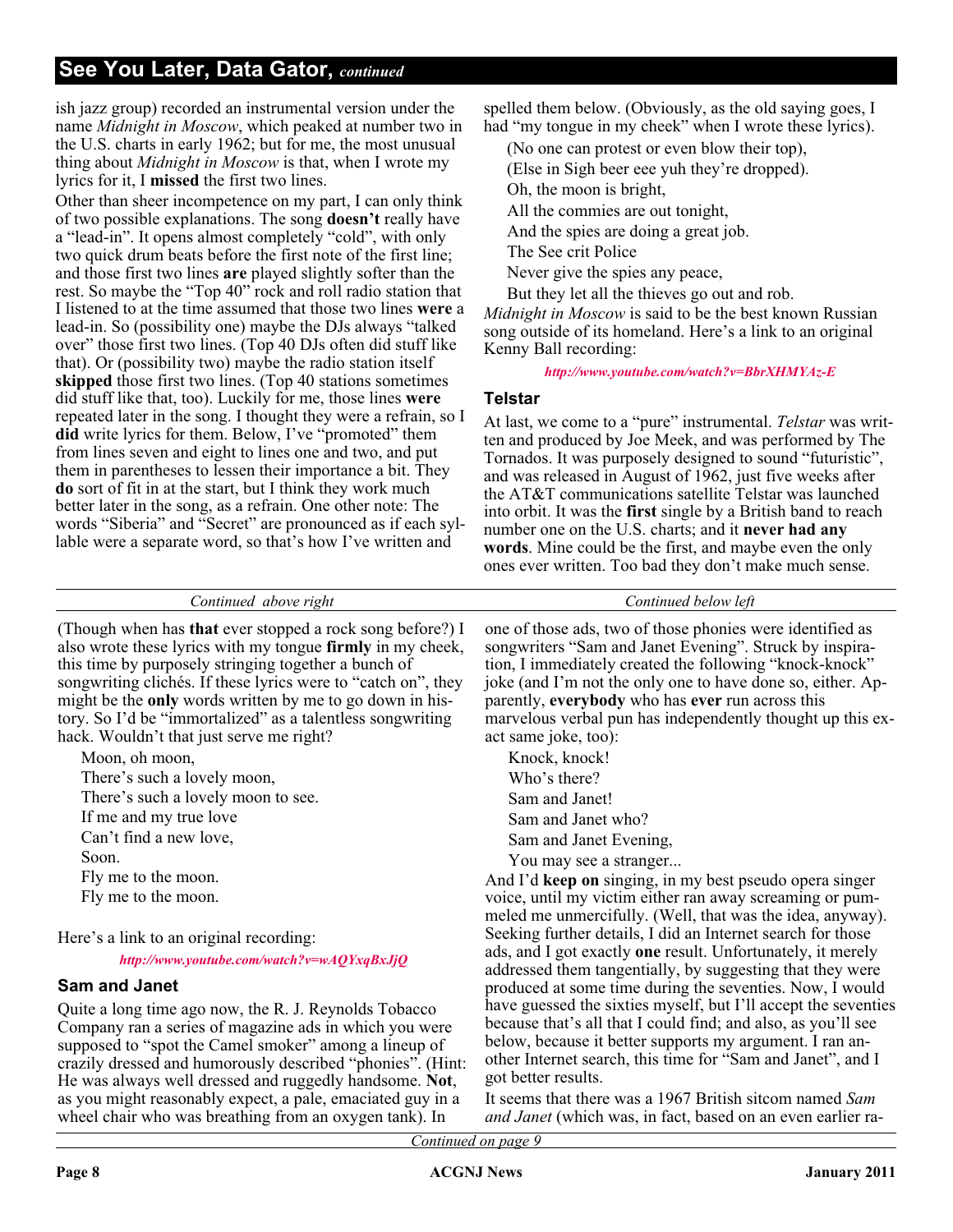ish jazz group) recorded an instrumental version under the name *Midnight in Moscow*, which peaked at number two in the U.S. charts in early 1962; but for me, the most unusual thing about *Midnight in Moscow* is that, when I wrote my lyrics for it, I **missed** the first two lines.

Other than sheer incompetence on my part, I can only think of two possible explanations. The song **doesn't** really have a "lead-in". It opens almost completely "cold", with only two quick drum beats before the first note of the first line; and those first two lines **are** played slightly softer than the rest. So maybe the "Top 40" rock and roll radio station that I listened to at the time assumed that those two lines **were** a lead-in. So (possibility one) maybe the DJs always "talked over" those first two lines. (Top 40 DJs often did stuff like that). Or (possibility two) maybe the radio station itself **skipped** those first two lines. (Top 40 stations sometimes did stuff like that, too). Luckily for me, those lines **were** repeated later in the song. I thought they were a refrain, so I **did** write lyrics for them. Below, I've "promoted" them from lines seven and eight to lines one and two, and put them in parentheses to lessen their importance a bit. They **do** sort of fit in at the start, but I think they work much better later in the song, as a refrain. One other note: The words "Siberia" and "Secret" are pronounced as if each syllable were a separate word, so that's how I've written and

as you might reasonably expect, a pale, emaciated guy in a wheel chair who was breathing from an oxygen tank). In

spelled them below. (Obviously, as the old saying goes, I had "my tongue in my cheek" when I wrote these lyrics).

(No one can protest or even blow their top),

(Else in Sigh beer eee yuh they're dropped).

Oh, the moon is bright,

All the commies are out tonight,

And the spies are doing a great job.

The See crit Police

Never give the spies any peace,

But they let all the thieves go out and rob.

*Midnight in Moscow* is said to be the best known Russian song outside of its homeland. Here's a link to an original Kenny Ball recording:

*<http://www.youtube.com/watch?v=BbrXHMYAz-E>*

### **Telstar**

At last, we come to a "pure" instrumental. *Telstar* was written and produced by Joe Meek, and was performed by The Tornados. It was purposely designed to sound "futuristic", and was released in August of 1962, just five weeks after the AT&T communications satellite Telstar was launched into orbit. It was the **first** single by a British band to reach number one on the U.S. charts; and it **never had any words**. Mine could be the first, and maybe even the only ones ever written. Too bad they don't make much sense.

| Continued above right                                                                                                                                                                                                                                                                                                                                                                                                                | Continued below left                                                                                                                                                                                                                                                                                                                                                                     |
|--------------------------------------------------------------------------------------------------------------------------------------------------------------------------------------------------------------------------------------------------------------------------------------------------------------------------------------------------------------------------------------------------------------------------------------|------------------------------------------------------------------------------------------------------------------------------------------------------------------------------------------------------------------------------------------------------------------------------------------------------------------------------------------------------------------------------------------|
| (Though when has <b>that</b> ever stopped a rock song before?) I<br>also wrote these lyrics with my tongue firmly in my cheek,<br>this time by purposely stringing together a bunch of<br>songwriting clichés. If these lyrics were to "catch on", they<br>might be the <b>only</b> words written by me to go down in his-<br>tory. So I'd be "immortalized" as a talentless songwriting<br>hack. Wouldn't that just serve me right? | one of those ads, two of those phonies were identified as<br>songwriters "Sam and Janet Evening". Struck by inspira-<br>tion, I immediately created the following "knock-knock"<br>joke (and I'm not the only one to have done so, either. Ap-<br>parently, everybody who has ever run across this<br>marvelous verbal pun has independently thought up this ex-<br>act same joke, too): |
| Moon, oh moon,                                                                                                                                                                                                                                                                                                                                                                                                                       | Knock, knock!                                                                                                                                                                                                                                                                                                                                                                            |
| There's such a lovely moon,                                                                                                                                                                                                                                                                                                                                                                                                          | Who's there?                                                                                                                                                                                                                                                                                                                                                                             |
| There's such a lovely moon to see.                                                                                                                                                                                                                                                                                                                                                                                                   | Sam and Janet!                                                                                                                                                                                                                                                                                                                                                                           |
| If me and my true love                                                                                                                                                                                                                                                                                                                                                                                                               | Sam and Janet who?                                                                                                                                                                                                                                                                                                                                                                       |
| Can't find a new love,                                                                                                                                                                                                                                                                                                                                                                                                               | Sam and Janet Evening,                                                                                                                                                                                                                                                                                                                                                                   |
| Soon.                                                                                                                                                                                                                                                                                                                                                                                                                                | You may see a stranger                                                                                                                                                                                                                                                                                                                                                                   |
| Fly me to the moon.                                                                                                                                                                                                                                                                                                                                                                                                                  | And I'd keep on singing, in my best pseudo opera singer                                                                                                                                                                                                                                                                                                                                  |
| Fly me to the moon.                                                                                                                                                                                                                                                                                                                                                                                                                  | voice, until my victim either ran away screaming or pum-                                                                                                                                                                                                                                                                                                                                 |
| Here's a link to an original recording:<br>http://www.youtube.com/watch?v=wAQYxqBxJjQ                                                                                                                                                                                                                                                                                                                                                | meled me unmercifully. (Well, that was the idea, anyway).<br>Seeking further details, I did an Internet search for those<br>ads, and I got exactly one result. Unfortunately, it merely<br>addressed them tangentially, by suggesting that they were                                                                                                                                     |
| Sam and Janet                                                                                                                                                                                                                                                                                                                                                                                                                        | produced at some time during the seventies. Now, I would                                                                                                                                                                                                                                                                                                                                 |
| Quite a long time ago now, the R. J. Reynolds Tobacco<br>Company ran a series of magazine ads in which you were<br>supposed to "spot the Camel smoker" among a lineup of<br>crazily dressed and humorously described "phonies". (Hint:<br>He was always well dressed and ruggedly handsome. Not,                                                                                                                                     | have guessed the sixties myself, but I'll accept the seventies<br>because that's all that I could find; and also, as you'll see<br>below, because it better supports my argument. I ran an-<br>other Internet search, this time for "Sam and Janet", and I<br>got better results.                                                                                                        |

It seems that there was a 1967 British sitcom named *Sam and Janet* (which was, in fact, based on an even earlier ra-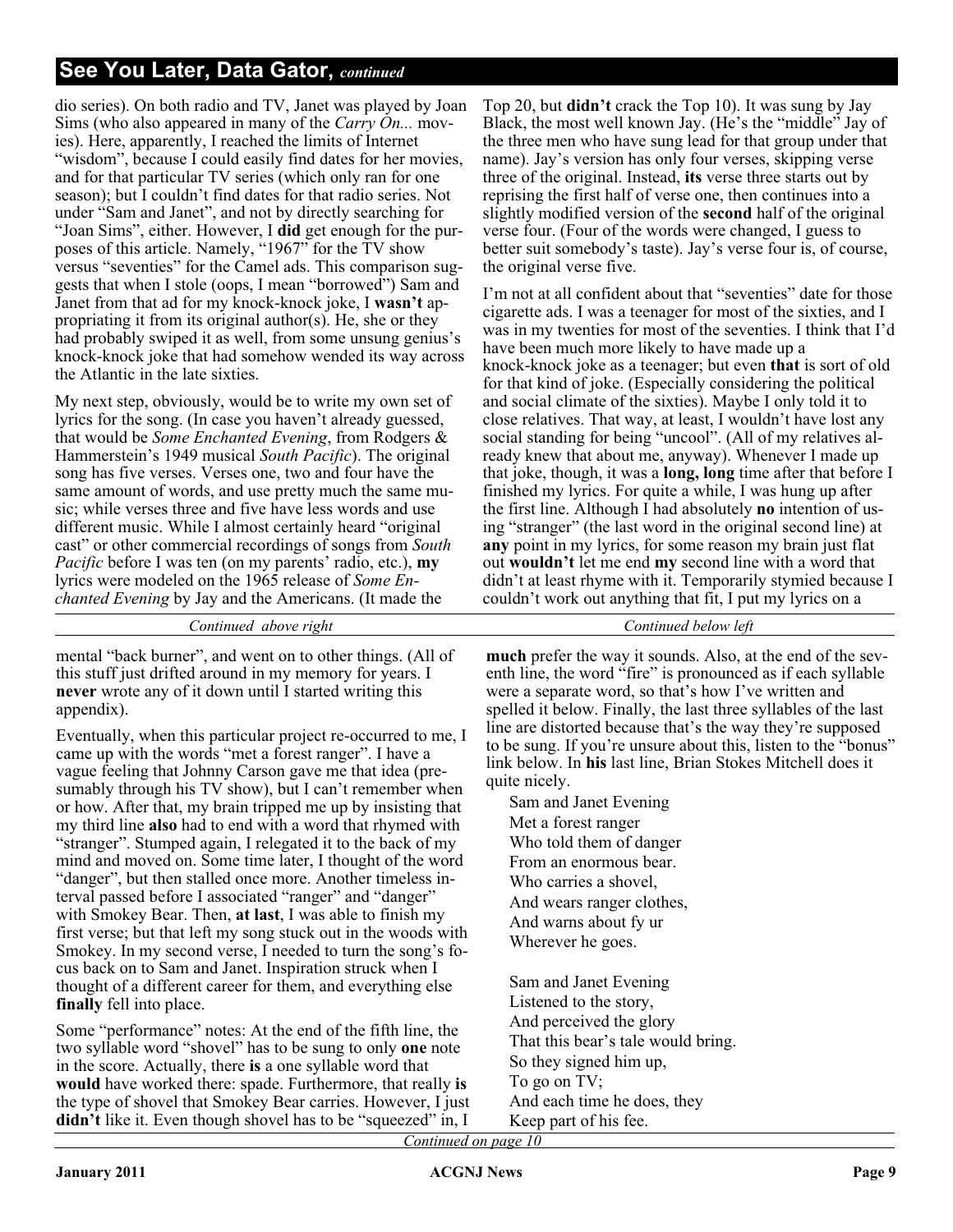dio series). On both radio and TV, Janet was played by Joan Sims (who also appeared in many of the *Carry On...* movies). Here, apparently, I reached the limits of Internet "wisdom", because I could easily find dates for her movies, and for that particular TV series (which only ran for one season); but I couldn't find dates for that radio series. Not under "Sam and Janet", and not by directly searching for "Joan Sims", either. However, I **did** get enough for the purposes of this article. Namely, "1967" for the TV show versus "seventies" for the Camel ads. This comparison suggests that when I stole (oops, I mean "borrowed") Sam and Janet from that ad for my knock-knock joke, I **wasn't** appropriating it from its original author(s). He, she or they had probably swiped it as well, from some unsung genius's knock-knock joke that had somehow wended its way across the Atlantic in the late sixties.

My next step, obviously, would be to write my own set of lyrics for the song. (In case you haven't already guessed, that would be *Some Enchanted Evening*, from Rodgers & Hammerstein's 1949 musical *South Pacific*). The original song has five verses. Verses one, two and four have the same amount of words, and use pretty much the same music; while verses three and five have less words and use different music. While I almost certainly heard "original cast" or other commercial recordings of songs from *South Pacific* before I was ten (on my parents' radio, etc.), **my** lyrics were modeled on the 1965 release of *Some Enchanted Evening* by Jay and the Americans. (It made the

*Continued above right Continued below left*

mental "back burner", and went on to other things. (All of this stuff just drifted around in my memory for years. I **never** wrote any of it down until I started writing this appendix).

Eventually, when this particular project re-occurred to me, I came up with the words "met a forest ranger". I have a vague feeling that Johnny Carson gave me that idea (presumably through his TV show), but I can't remember when or how. After that, my brain tripped me up by insisting that my third line **also** had to end with a word that rhymed with "stranger". Stumped again, I relegated it to the back of my mind and moved on. Some time later, I thought of the word "danger", but then stalled once more. Another timeless interval passed before I associated "ranger" and "danger" with Smokey Bear. Then, **at last**, I was able to finish my first verse; but that left my song stuck out in the woods with Smokey. In my second verse, I needed to turn the song's focus back on to Sam and Janet. Inspiration struck when I thought of a different career for them, and everything else **finally** fell into place.

Some "performance" notes: At the end of the fifth line, the two syllable word "shovel" has to be sung to only **one** note in the score. Actually, there **is** a one syllable word that **would** have worked there: spade. Furthermore, that really **is** the type of shovel that Smokey Bear carries. However, I just **didn't** like it. Even though shovel has to be "squeezed" in, I

Top 20, but **didn't** crack the Top 10). It was sung by Jay Black, the most well known Jay. (He's the "middle" Jay of the three men who have sung lead for that group under that name). Jay's version has only four verses, skipping verse three of the original. Instead, **its** verse three starts out by reprising the first half of verse one, then continues into a slightly modified version of the **second** half of the original verse four. (Four of the words were changed, I guess to better suit somebody's taste). Jay's verse four is, of course, the original verse five.

I'm not at all confident about that "seventies" date for those cigarette ads. I was a teenager for most of the sixties, and I was in my twenties for most of the seventies. I think that I'd have been much more likely to have made up a knock-knock joke as a teenager; but even **that** is sort of old for that kind of joke. (Especially considering the political and social climate of the sixties). Maybe I only told it to close relatives. That way, at least, I wouldn't have lost any social standing for being "uncool". (All of my relatives already knew that about me, anyway). Whenever I made up that joke, though, it was a **long, long** time after that before I finished my lyrics. For quite a while, I was hung up after the first line. Although I had absolutely **no** intention of using "stranger" (the last word in the original second line) at **any** point in my lyrics, for some reason my brain just flat out **wouldn't** let me end **my** second line with a word that didn't at least rhyme with it. Temporarily stymied because I couldn't work out anything that fit, I put my lyrics on a

**much** prefer the way it sounds. Also, at the end of the seventh line, the word "fire" is pronounced as if each syllable were a separate word, so that's how I've written and spelled it below. Finally, the last three syllables of the last line are distorted because that's the way they're supposed to be sung. If you're unsure about this, listen to the "bonus" link below. In **his** last line, Brian Stokes Mitchell does it quite nicely.

Sam and Janet Evening Met a forest ranger Who told them of danger From an enormous bear. Who carries a shovel, And wears ranger clothes, And warns about fy ur Wherever he goes.

Sam and Janet Evening Listened to the story, And perceived the glory That this bear's tale would bring. So they signed him up, To go on TV; And each time he does, they Keep part of his fee.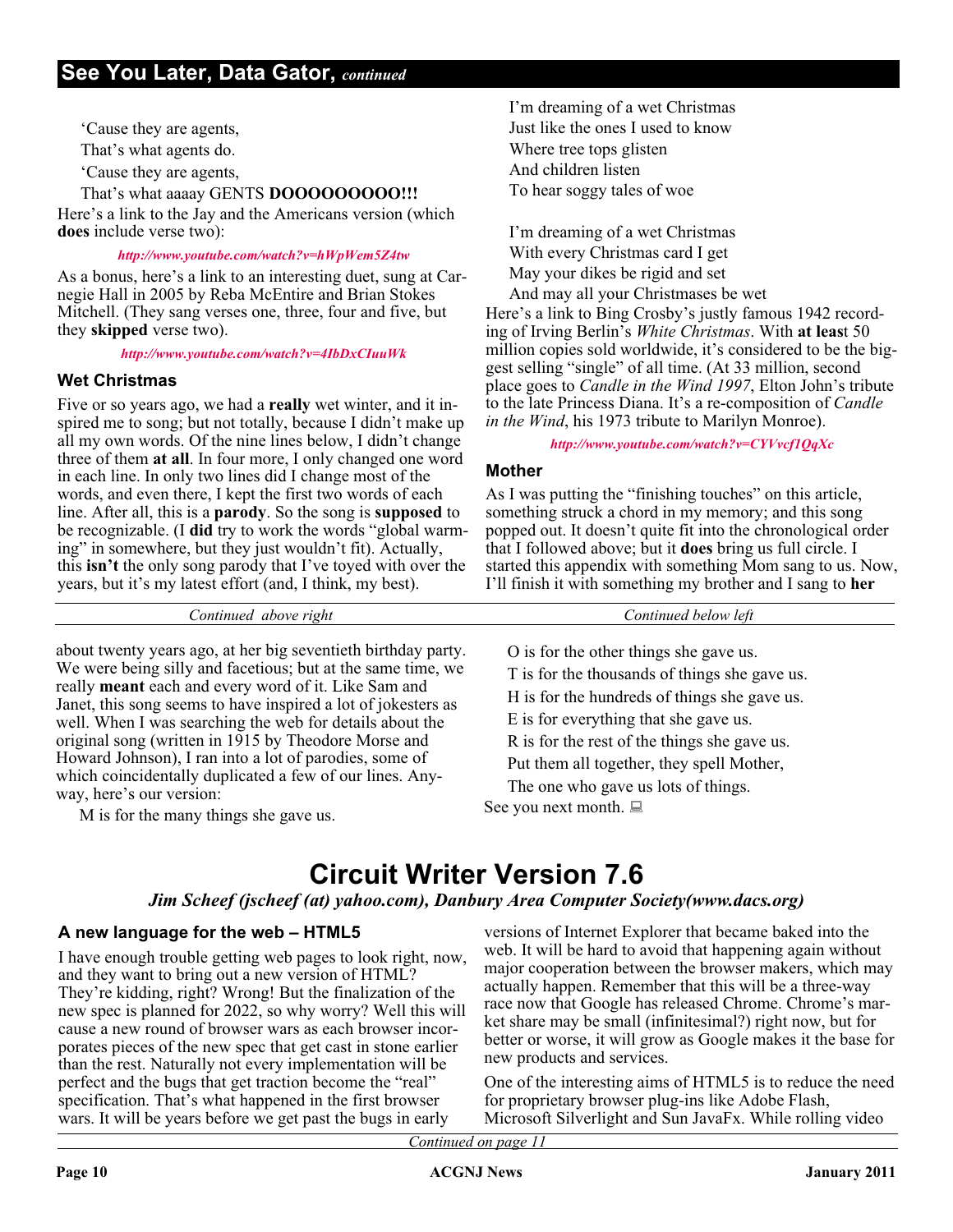'Cause they are agents,

That's what agents do.

'Cause they are agents,

### That's what aaaay GENTS **DOOOOOOOOO!!!**

Here's a link to the Jay and the Americans version (which **does** include verse two):

#### *<http://www.youtube.com/watch?v=hWpWem5Z4tw>*

As a bonus, here's a link to an interesting duet, sung at Carnegie Hall in 2005 by Reba McEntire and Brian Stokes Mitchell. (They sang verses one, three, four and five, but they **skipped** verse two).

*<http://www.youtube.com/watch?v=4IbDxCIuuWk>*

### **Wet Christmas**

Five or so years ago, we had a **really** wet winter, and it inspired me to song; but not totally, because I didn't make up all my own words. Of the nine lines below, I didn't change three of them **at all**. In four more, I only changed one word in each line. In only two lines did I change most of the words, and even there, I kept the first two words of each line. After all, this is a **parody**. So the song is **supposed** to be recognizable. (I **did** try to work the words "global warming" in somewhere, but they just wouldn't fit). Actually, this **isn't** the only song parody that I've toyed with over the years, but it's my latest effort (and, I think, my best).

about twenty years ago, at her big seventieth birthday party. We were being silly and facetious; but at the same time, we really **meant** each and every word of it. Like Sam and Janet, this song seems to have inspired a lot of jokesters as well. When I was searching the web for details about the original song (written in 1915 by Theodore Morse and Howard Johnson), I ran into a lot of parodies, some of which coincidentally duplicated a few of our lines. Anyway, here's our version:

M is for the many things she gave us.

I'm dreaming of a wet Christmas Just like the ones I used to know Where tree tops glisten And children listen To hear soggy tales of woe

I'm dreaming of a wet Christmas With every Christmas card I get May your dikes be rigid and set

And may all your Christmases be wet Here's a link to Bing Crosby's justly famous 1942 recording of Irving Berlin's *White Christmas*. With **at leas**t 50 million copies sold worldwide, it's considered to be the biggest selling "single" of all time. (At 33 million, second place goes to *Candle in the Wind 1997*, Elton John's tribute to the late Princess Diana. It's a re-composition of *Candle in the Wind*, his 1973 tribute to Marilyn Monroe).

### *<http://www.youtube.com/watch?v=CYVvcf1QqXc>*

### **Mother**

As I was putting the "finishing touches" on this article, something struck a chord in my memory; and this song popped out. It doesn't quite fit into the chronological order that I followed above; but it **does** bring us full circle. I started this appendix with something Mom sang to us. Now, I'll finish it with something my brother and I sang to **her**

O is for the other things she gave us. T is for the thousands of things she gave us. H is for the hundreds of things she gave us. E is for everything that she gave us. R is for the rest of the things she gave us. Put them all together, they spell Mother, The one who gave us lots of things. See you next month.  $\Box$ 

### **Circuit Writer Version 7.6**

*Continued above right Continued below left*

### *Jim Scheef (jscheef (at) yahoo.com), Danbury Area Computer Society(www.dacs.org)*

### **A new language for the web – HTML5**

I have enough trouble getting web pages to look right, now, and they want to bring out a new version of HTML? They're kidding, right? Wrong! But the finalization of the new spec is planned for 2022, so why worry? Well this will cause a new round of browser wars as each browser incorporates pieces of the new spec that get cast in stone earlier than the rest. Naturally not every implementation will be perfect and the bugs that get traction become the "real" specification. That's what happened in the first browser wars. It will be years before we get past the bugs in early

versions of Internet Explorer that became baked into the web. It will be hard to avoid that happening again without major cooperation between the browser makers, which may actually happen. Remember that this will be a three-way race now that Google has released Chrome. Chrome's market share may be small (infinitesimal?) right now, but for better or worse, it will grow as Google makes it the base for new products and services.

One of the interesting aims of HTML5 is to reduce the need for proprietary browser plug-ins like Adobe Flash, Microsoft Silverlight and Sun JavaFx. While rolling video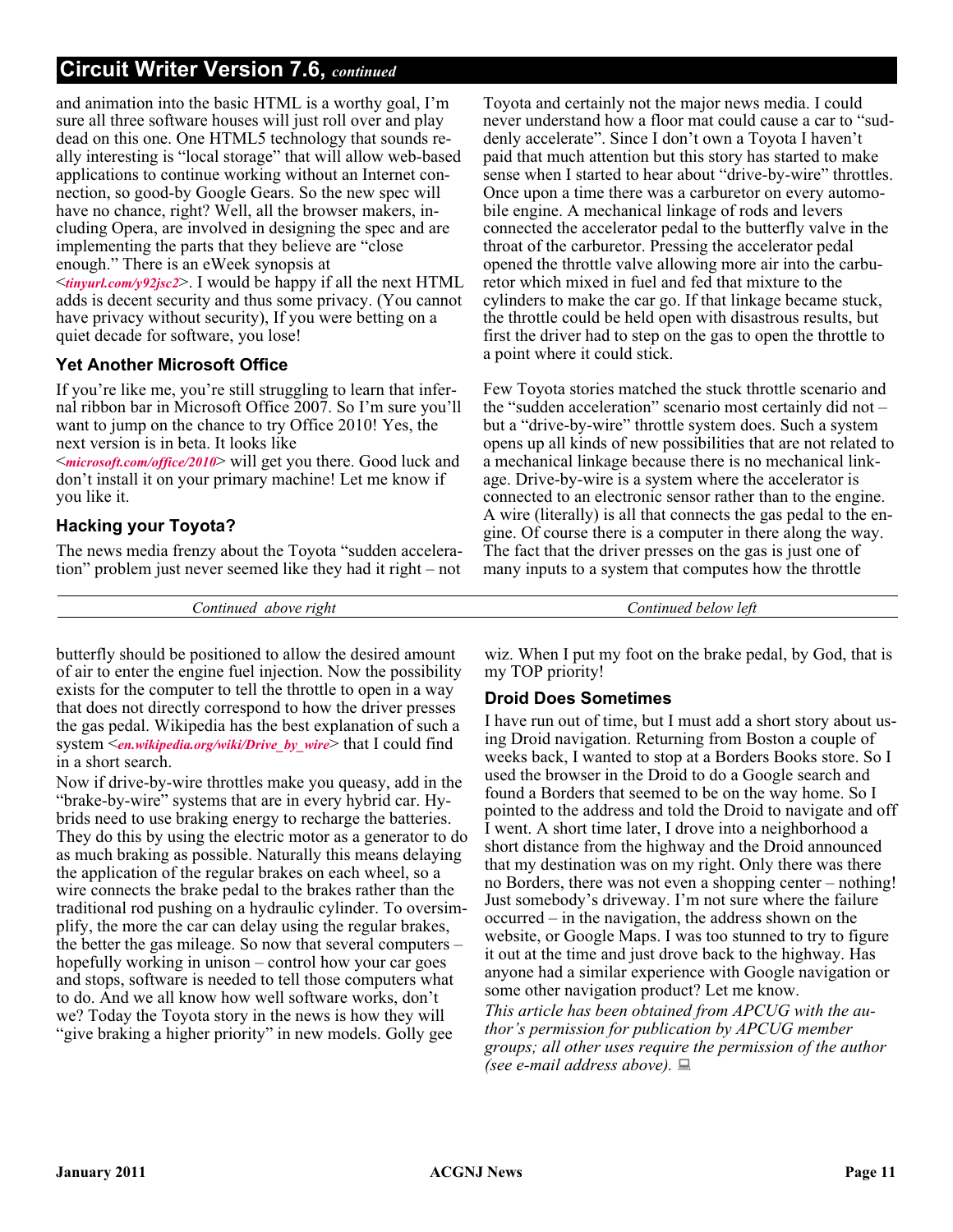### **Circuit Writer Version 7.6,** *continued*

and animation into the basic HTML is a worthy goal, I'm sure all three software houses will just roll over and play dead on this one. One HTML5 technology that sounds really interesting is "local storage" that will allow web-based applications to continue working without an Internet connection, so good-by Google Gears. So the new spec will have no chance, right? Well, all the browser makers, including Opera, are involved in designing the spec and are implementing the parts that they believe are "close enough." There is an eWeek synopsis at <*[tinyurl.com/y92jsc2](http://tinyurl.com/y92jsc2)*>. I would be happy if all the next HTML adds is decent security and thus some privacy. (You cannot have privacy without security), If you were betting on a quiet decade for software, you lose!

### **Yet Another Microsoft Office**

If you're like me, you're still struggling to learn that infernal ribbon bar in Microsoft Office 2007. So I'm sure you'll want to jump on the chance to try Office 2010! Yes, the next version is in beta. It looks like

<*[microsoft.com/office/2010](http://www.microsoft.com/office/2010)*> will get you there. Good luck and don't install it on your primary machine! Let me know if you like it.

### **Hacking your Toyota?**

The news media frenzy about the Toyota "sudden acceleration" problem just never seemed like they had it right – not

*Continued above right Continued below left*

butterfly should be positioned to allow the desired amount of air to enter the engine fuel injection. Now the possibility exists for the computer to tell the throttle to open in a way that does not directly correspond to how the driver presses the gas pedal. Wikipedia has the best explanation of such a system <*[en.wikipedia.org/wiki/Drive\\_by\\_wire](http://en.wikipedia.org/wiki/Drive_by_wire)*> that I could find in a short search.

Now if drive-by-wire throttles make you queasy, add in the "brake-by-wire" systems that are in every hybrid car. Hybrids need to use braking energy to recharge the batteries. They do this by using the electric motor as a generator to do as much braking as possible. Naturally this means delaying the application of the regular brakes on each wheel, so a wire connects the brake pedal to the brakes rather than the traditional rod pushing on a hydraulic cylinder. To oversimplify, the more the car can delay using the regular brakes, the better the gas mileage. So now that several computers – hopefully working in unison – control how your car goes and stops, software is needed to tell those computers what to do. And we all know how well software works, don't we? Today the Toyota story in the news is how they will "give braking a higher priority" in new models. Golly gee

Toyota and certainly not the major news media. I could never understand how a floor mat could cause a car to "suddenly accelerate". Since I don't own a Toyota I haven't paid that much attention but this story has started to make sense when I started to hear about "drive-by-wire" throttles. Once upon a time there was a carburetor on every automobile engine. A mechanical linkage of rods and levers connected the accelerator pedal to the butterfly valve in the throat of the carburetor. Pressing the accelerator pedal opened the throttle valve allowing more air into the carburetor which mixed in fuel and fed that mixture to the cylinders to make the car go. If that linkage became stuck, the throttle could be held open with disastrous results, but first the driver had to step on the gas to open the throttle to a point where it could stick.

Few Toyota stories matched the stuck throttle scenario and the "sudden acceleration" scenario most certainly did not – but a "drive-by-wire" throttle system does. Such a system opens up all kinds of new possibilities that are not related to a mechanical linkage because there is no mechanical linkage. Drive-by-wire is a system where the accelerator is connected to an electronic sensor rather than to the engine. A wire (literally) is all that connects the gas pedal to the engine. Of course there is a computer in there along the way. The fact that the driver presses on the gas is just one of many inputs to a system that computes how the throttle

wiz. When I put my foot on the brake pedal, by God, that is my TOP priority!

### **Droid Does Sometimes**

I have run out of time, but I must add a short story about using Droid navigation. Returning from Boston a couple of weeks back, I wanted to stop at a Borders Books store. So I used the browser in the Droid to do a Google search and found a Borders that seemed to be on the way home. So I pointed to the address and told the Droid to navigate and off I went. A short time later, I drove into a neighborhood a short distance from the highway and the Droid announced that my destination was on my right. Only there was there no Borders, there was not even a shopping center – nothing! Just somebody's driveway. I'm not sure where the failure occurred – in the navigation, the address shown on the website, or Google Maps. I was too stunned to try to figure it out at the time and just drove back to the highway. Has anyone had a similar experience with Google navigation or some other navigation product? Let me know.

*This article has been obtained from APCUG with the author's permission for publication by APCUG member groups; all other uses require the permission of the author (see e-mail address above).*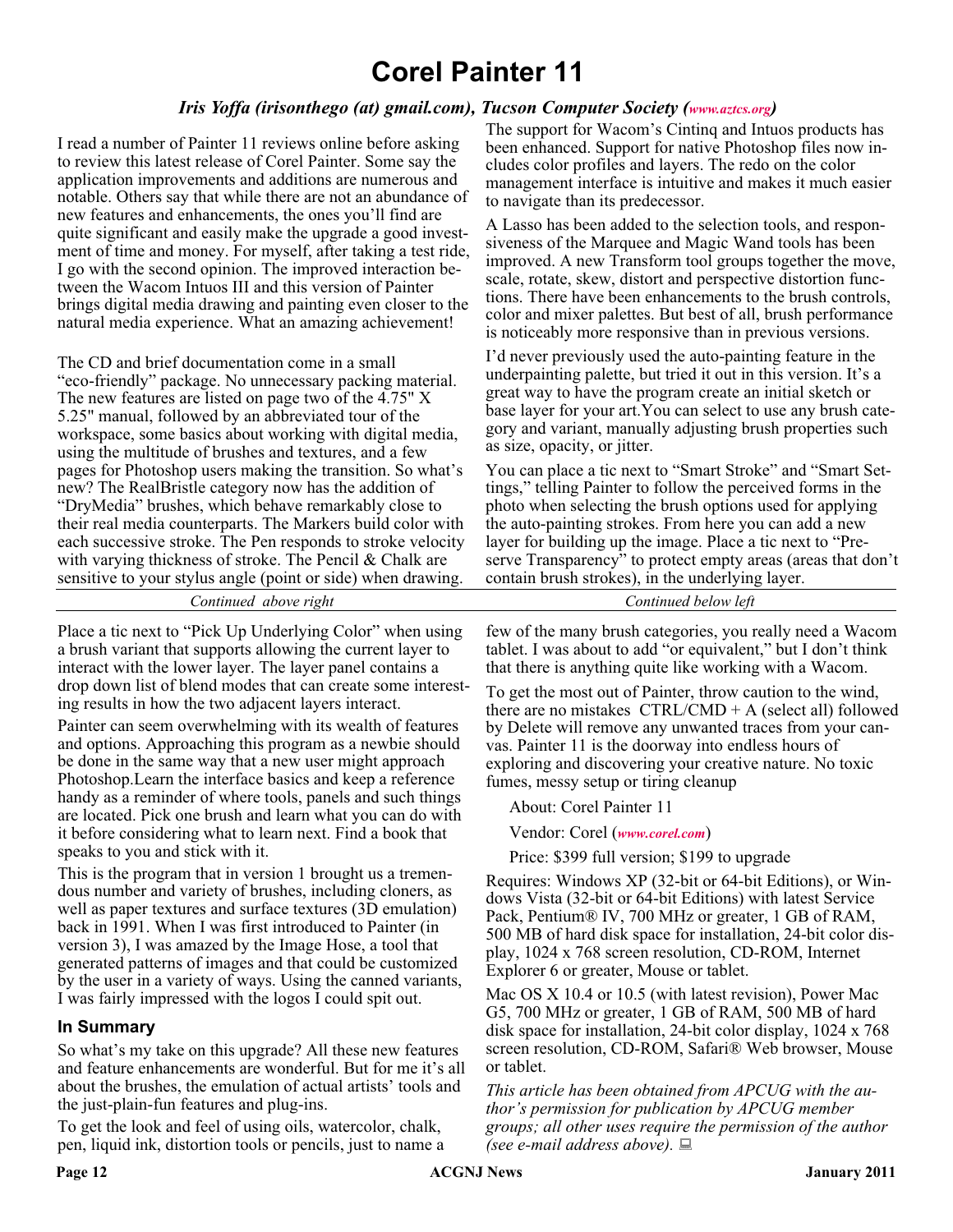### **Corel Painter 11**

### *Iris Yoffa (irisonthego (at) gmail.com), Tucson Computer Society ([www.aztcs.org\)](http://www.aztcs.org)*

I read a number of Painter 11 reviews online before asking to review this latest release of Corel Painter. Some say the application improvements and additions are numerous and notable. Others say that while there are not an abundance of new features and enhancements, the ones you'll find are quite significant and easily make the upgrade a good investment of time and money. For myself, after taking a test ride, I go with the second opinion. The improved interaction between the Wacom Intuos III and this version of Painter brings digital media drawing and painting even closer to the natural media experience. What an amazing achievement!

The CD and brief documentation come in a small "eco-friendly" package. No unnecessary packing material. The new features are listed on page two of the 4.75" X 5.25" manual, followed by an abbreviated tour of the workspace, some basics about working with digital media, using the multitude of brushes and textures, and a few pages for Photoshop users making the transition. So what's new? The RealBristle category now has the addition of "DryMedia" brushes, which behave remarkably close to their real media counterparts. The Markers build color with each successive stroke. The Pen responds to stroke velocity with varying thickness of stroke. The Pencil & Chalk are sensitive to your stylus angle (point or side) when drawing.

The support for Wacom's Cintinq and Intuos products has been enhanced. Support for native Photoshop files now includes color profiles and layers. The redo on the color management interface is intuitive and makes it much easier to navigate than its predecessor.

A Lasso has been added to the selection tools, and responsiveness of the Marquee and Magic Wand tools has been improved. A new Transform tool groups together the move, scale, rotate, skew, distort and perspective distortion functions. There have been enhancements to the brush controls, color and mixer palettes. But best of all, brush performance is noticeably more responsive than in previous versions.

I'd never previously used the auto-painting feature in the underpainting palette, but tried it out in this version. It's a great way to have the program create an initial sketch or base layer for your art.You can select to use any brush category and variant, manually adjusting brush properties such as size, opacity, or jitter.

You can place a tic next to "Smart Stroke" and "Smart Settings," telling Painter to follow the perceived forms in the photo when selecting the brush options used for applying the auto-painting strokes. From here you can add a new layer for building up the image. Place a tic next to "Preserve Transparency" to protect empty areas (areas that don't contain brush strokes), in the underlying layer.

*Continued above right Continued below left*

Place a tic next to "Pick Up Underlying Color" when using a brush variant that supports allowing the current layer to interact with the lower layer. The layer panel contains a drop down list of blend modes that can create some interesting results in how the two adjacent layers interact.

Painter can seem overwhelming with its wealth of features and options. Approaching this program as a newbie should be done in the same way that a new user might approach Photoshop.Learn the interface basics and keep a reference handy as a reminder of where tools, panels and such things are located. Pick one brush and learn what you can do with it before considering what to learn next. Find a book that speaks to you and stick with it.

This is the program that in version 1 brought us a tremendous number and variety of brushes, including cloners, as well as paper textures and surface textures (3D emulation) back in 1991. When I was first introduced to Painter (in version 3), I was amazed by the Image Hose, a tool that generated patterns of images and that could be customized by the user in a variety of ways. Using the canned variants, I was fairly impressed with the logos I could spit out.

### **In Summary**

So what's my take on this upgrade? All these new features and feature enhancements are wonderful. But for me it's all about the brushes, the emulation of actual artists' tools and the just-plain-fun features and plug-ins.

To get the look and feel of using oils, watercolor, chalk, pen, liquid ink, distortion tools or pencils, just to name a

few of the many brush categories, you really need a Wacom tablet. I was about to add "or equivalent," but I don't think that there is anything quite like working with a Wacom.

To get the most out of Painter, throw caution to the wind, there are no mistakes  $CTRL/CMD + A$  (select all) followed by Delete will remove any unwanted traces from your canvas. Painter 11 is the doorway into endless hours of exploring and discovering your creative nature. No toxic fumes, messy setup or tiring cleanup

About: Corel Painter 11

Vendor: Corel (*[www.corel.com](http://www.corel.com)*)

Price: \$399 full version; \$199 to upgrade

Requires: Windows XP (32-bit or 64-bit Editions), or Windows Vista (32-bit or 64-bit Editions) with latest Service Pack, Pentium® IV, 700 MHz or greater, 1 GB of RAM, 500 MB of hard disk space for installation, 24-bit color display, 1024 x 768 screen resolution, CD-ROM, Internet Explorer 6 or greater, Mouse or tablet.

Mac OS X 10.4 or 10.5 (with latest revision), Power Mac G5, 700 MHz or greater, 1 GB of RAM, 500 MB of hard disk space for installation, 24-bit color display, 1024 x 768 screen resolution, CD-ROM, Safari® Web browser, Mouse or tablet.

*This article has been obtained from APCUG with the author's permission for publication by APCUG member groups; all other uses require the permission of the author (see e-mail address above).*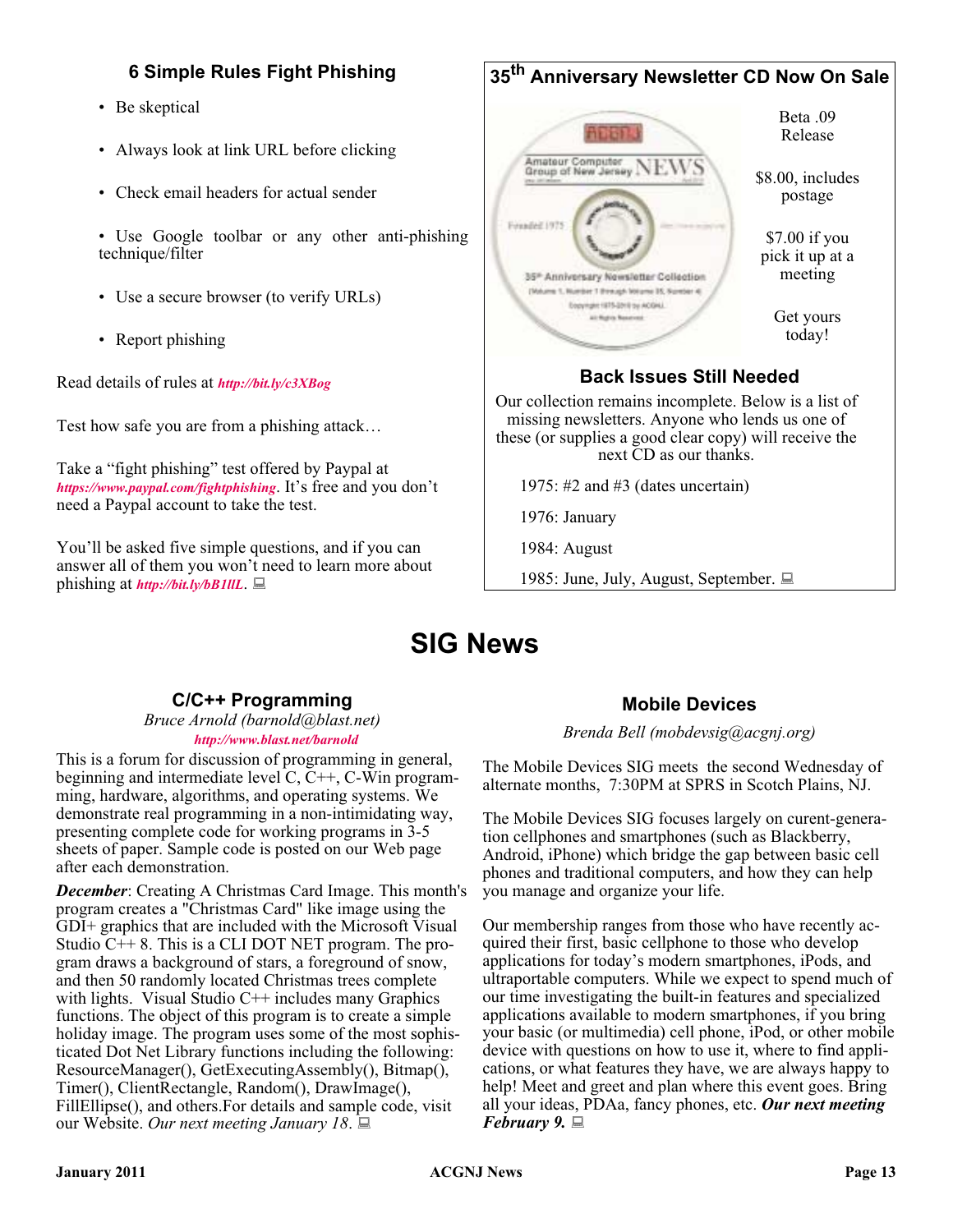### **6 Simple Rules Fight Phishing**

- Be skeptical
- Always look at link URL before clicking
- Check email headers for actual sender
- Use Google toolbar or any other anti-phishing technique/filter
- Use a secure browser (to verify URLs)
- Report phishing

Read details of rules at *<http://bit.ly/c3XBog>*

Test how safe you are from a phishing attack…

Take a "fight phishing" test offered by Paypal at *<https://www.paypal.com/fightphishing>*. It's free and you don't need a Paypal account to take the test.

You'll be asked five simple questions, and if you can answer all of them you won't need to learn more about phishing at *<http://bit.ly/bB1llL>*.

### **35th Anniversary Newsletter CD Now On Sale** Beta .09 **Abbi** Release Amateur Computer<br>Group of New Jersey NEW Amateur Computer \$8.00, includes postage Founded 1975 \$7.00 if you pick it up at a meeting 35<sup>\*</sup> Anniversary Newsletter Collection (Mulume 1, Number 1 Brenigh Wearne 35, Sure) Dopyington 1975-2010 to ACOHA Get yours at fight funeral today! **Back Issues Still Needed** Our collection remains incomplete. Below is a list of missing newsletters. Anyone who lends us one of these (or supplies a good clear copy) will receive the next CD as our thanks. 1975: #2 and #3 (dates uncertain)

1976: January

1984: August

1985: June, July, August, September.

### **SIG News**

### **C/C++ Programming**

*Bruce Arnold (barnold@blast.net) <http://www.blast.net/barnold>*

This is a forum for discussion of programming in general, beginning and intermediate level C, C++, C-Win programming, hardware, algorithms, and operating systems. We demonstrate real programming in a non-intimidating way, presenting complete code for working programs in 3-5 sheets of paper. Sample code is posted on our Web page after each demonstration.

*December*: Creating A Christmas Card Image. This month's program creates a "Christmas Card" like image using the GDI+ graphics that are included with the Microsoft Visual Studio C++ 8. This is a CLI DOT NET program. The program draws a background of stars, a foreground of snow, and then 50 randomly located Christmas trees complete with lights. Visual Studio  $C++$  includes many Graphics functions. The object of this program is to create a simple holiday image. The program uses some of the most sophisticated Dot Net Library functions including the following: ResourceManager(), GetExecutingAssembly(), Bitmap(), Timer(), ClientRectangle, Random(), DrawImage(), FillEllipse(), and others.For details and sample code, visit our Website. *Our next meeting January 18*.

### **Mobile Devices**

*Brenda Bell (mobdevsig@acgnj.org)*

The Mobile Devices SIG meets the second Wednesday of alternate months, 7:30PM at SPRS in Scotch Plains, NJ.

The Mobile Devices SIG focuses largely on curent-generation cellphones and smartphones (such as Blackberry, Android, iPhone) which bridge the gap between basic cell phones and traditional computers, and how they can help you manage and organize your life.

Our membership ranges from those who have recently acquired their first, basic cellphone to those who develop applications for today's modern smartphones, iPods, and ultraportable computers. While we expect to spend much of our time investigating the built-in features and specialized applications available to modern smartphones, if you bring your basic (or multimedia) cell phone, iPod, or other mobile device with questions on how to use it, where to find applications, or what features they have, we are always happy to help! Meet and greet and plan where this event goes. Bring all your ideas, PDAa, fancy phones, etc. *Our next meeting February 9.*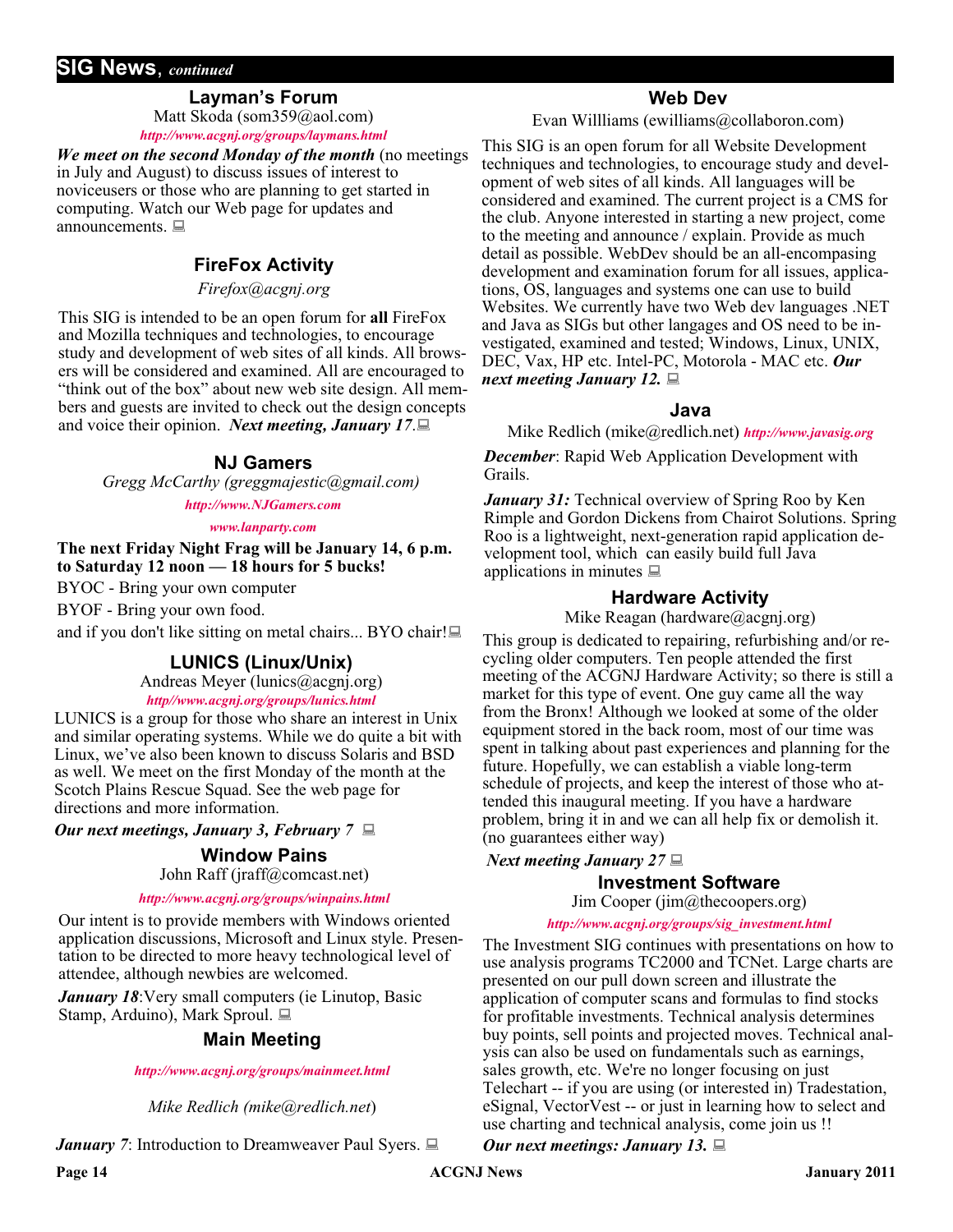### **SIG News**, *continued*

### **Layman's Forum**

Matt Skoda (som359@aol.com) *<http://www.acgnj.org/groups/laymans.html>*

*We meet on the second Monday of the month* (no meetings in July and August) to discuss issues of interest to noviceusers or those who are planning to get started in computing. Watch our Web page for updates and announcements.  $\Box$ 

### **FireFox Activity**

*Firefox@acgnj.org*

This SIG is intended to be an open forum for **all** FireFox and Mozilla techniques and technologies, to encourage study and development of web sites of all kinds. All browsers will be considered and examined. All are encouraged to "think out of the box" about new web site design. All members and guests are invited to check out the design concepts and voice their opinion. *Next meeting, January 17*.

### **NJ Gamers**

*Gregg McCarthy (greggmajestic@gmail.com)*

*<http://www.NJGamers.com>*

*[www.lanparty.com](http://www.lanparty.com)*

**The next Friday Night Frag will be January 14, 6 p.m. to Saturday 12 noon — 18 hours for 5 bucks!**

BYOC - Bring your own computer

BYOF - Bring your own food.

and if you don't like sitting on metal chairs... BYO chair!

### **LUNICS (Linux/Unix)**

Andreas Meyer (lunics@acgnj.org)

*<http//www.acgnj.org/groups/lunics.html>*

LUNICS is a group for those who share an interest in Unix and similar operating systems. While we do quite a bit with Linux, we've also been known to discuss Solaris and BSD as well. We meet on the first Monday of the month at the Scotch Plains Rescue Squad. See the web page for directions and more information.

*Our next meetings, January 3, February 7*

### **Window Pains**

John Raff (jraff@comcast.net)

#### *<http://www.acgnj.org/groups/winpains.html>*

Our intent is to provide members with Windows oriented application discussions, Microsoft and Linux style. Presentation to be directed to more heavy technological level of attendee, although newbies are welcomed.

*January 18:* Very small computers (ie Linutop, Basic Stamp, Arduino), Mark Sproul.

### **Main Meeting**

#### *<http://www.acgnj.org/groups/mainmeet.html>*

*Mike Redlich (mike@redlich.net*)

*January 7*: Introduction to Dreamweaver Paul Syers. ■

### **Web Dev**

Evan Willliams (ewilliams@collaboron.com)

This SIG is an open forum for all Website Development techniques and technologies, to encourage study and development of web sites of all kinds. All languages will be considered and examined. The current project is a CMS for the club. Anyone interested in starting a new project, come to the meeting and announce / explain. Provide as much detail as possible. WebDev should be an all-encompasing development and examination forum for all issues, applications, OS, languages and systems one can use to build Websites. We currently have two Web dev languages .NET and Java as SIGs but other langages and OS need to be investigated, examined and tested; Windows, Linux, UNIX, DEC, Vax, HP etc. Intel-PC, Motorola - MAC etc. *Our next meeting January 12.*

### **Java**

Mike Redlich (mike@redlich.net) *<http://www.javasig.org>*

*December*: Rapid Web Application Development with Grails.

*January 31:* Technical overview of Spring Roo by Ken Rimple and Gordon Dickens from Chairot Solutions. Spring Roo is a lightweight, next-generation rapid application development tool, which can easily build full Java applications in minutes  $\Box$ 

### **Hardware Activity**

Mike Reagan (hardware@acgnj.org)

This group is dedicated to repairing, refurbishing and/or recycling older computers. Ten people attended the first meeting of the ACGNJ Hardware Activity; so there is still a market for this type of event. One guy came all the way from the Bronx! Although we looked at some of the older equipment stored in the back room, most of our time was spent in talking about past experiences and planning for the future. Hopefully, we can establish a viable long-term schedule of projects, and keep the interest of those who attended this inaugural meeting. If you have a hardware problem, bring it in and we can all help fix or demolish it. (no guarantees either way)

### *Next meeting January 27*

### **Investment Software**

Jim Cooper (jim@thecoopers.org)

#### *[http://www.acgnj.org/groups/sig\\_investment.html](http://www.acgnj.org/groups/sig_investment.html)*

The Investment SIG continues with presentations on how to use analysis programs TC2000 and TCNet. Large charts are presented on our pull down screen and illustrate the application of computer scans and formulas to find stocks for profitable investments. Technical analysis determines buy points, sell points and projected moves. Technical analysis can also be used on fundamentals such as earnings, sales growth, etc. We're no longer focusing on just Telechart -- if you are using (or interested in) Tradestation, eSignal, VectorVest -- or just in learning how to select and use charting and technical analysis, come join us !!

### *Our next meetings: January 13.*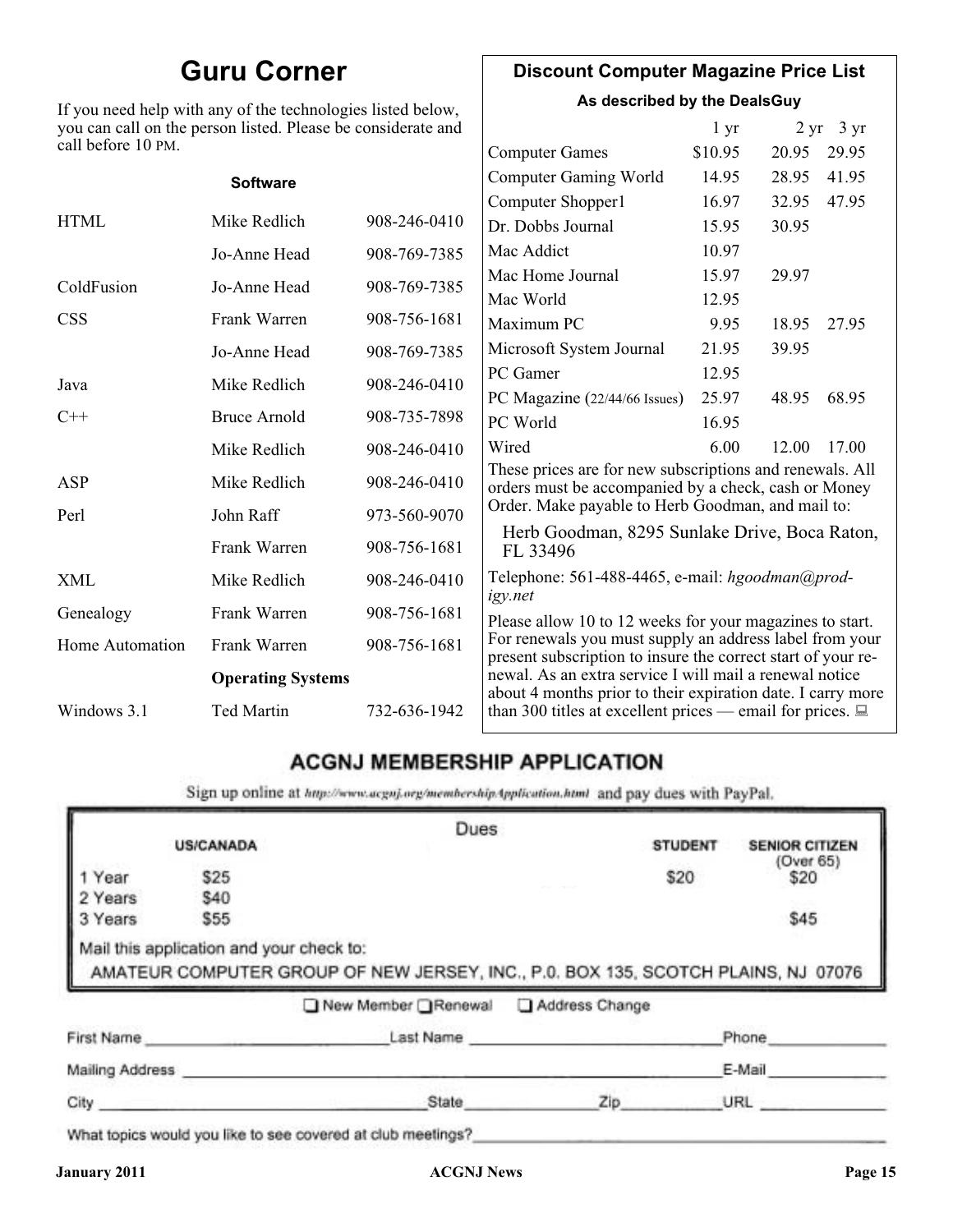### **Guru Corner**

If you need help with any of the technologies listed below, you can call on the person listed. Please be considerate and

### **Discount Computer Magazine Price List**

**As described by the DealsGuy**

| call before 10 PM. | you can call on the person listed. Please be considerate and |              |                                                                                                                                                                              | $1 \, yr$ |       | $2 \text{ yr}$ 3 yr |
|--------------------|--------------------------------------------------------------|--------------|------------------------------------------------------------------------------------------------------------------------------------------------------------------------------|-----------|-------|---------------------|
|                    |                                                              |              | <b>Computer Games</b>                                                                                                                                                        | \$10.95   | 20.95 | 29.95               |
|                    | <b>Software</b>                                              |              | <b>Computer Gaming World</b>                                                                                                                                                 | 14.95     | 28.95 | 41.95               |
|                    |                                                              |              | Computer Shopper1                                                                                                                                                            | 16.97     | 32.95 | 47.95               |
| <b>HTML</b>        | Mike Redlich                                                 | 908-246-0410 | Dr. Dobbs Journal                                                                                                                                                            | 15.95     | 30.95 |                     |
|                    | Jo-Anne Head                                                 | 908-769-7385 | Mac Addict                                                                                                                                                                   | 10.97     |       |                     |
| ColdFusion         | Jo-Anne Head                                                 | 908-769-7385 | Mac Home Journal                                                                                                                                                             | 15.97     | 29.97 |                     |
|                    |                                                              |              | Mac World                                                                                                                                                                    | 12.95     |       |                     |
| <b>CSS</b>         | Frank Warren                                                 | 908-756-1681 | Maximum PC                                                                                                                                                                   | 9.95      | 18.95 | 27.95               |
|                    | Jo-Anne Head                                                 | 908-769-7385 | Microsoft System Journal                                                                                                                                                     | 21.95     | 39.95 |                     |
| Java               | Mike Redlich                                                 | 908-246-0410 | PC Gamer                                                                                                                                                                     | 12.95     |       |                     |
|                    |                                                              |              | PC Magazine (22/44/66 Issues)                                                                                                                                                | 25.97     | 48.95 | 68.95               |
| $C++$              | <b>Bruce Arnold</b>                                          | 908-735-7898 | PC World                                                                                                                                                                     | 16.95     |       |                     |
|                    | Mike Redlich                                                 | 908-246-0410 | Wired                                                                                                                                                                        | 6.00      | 12.00 | 17.00               |
| ASP                | Mike Redlich                                                 | 908-246-0410 | These prices are for new subscriptions and renewals. All<br>orders must be accompanied by a check, cash or Money                                                             |           |       |                     |
| Perl               | John Raff                                                    | 973-560-9070 | Order. Make payable to Herb Goodman, and mail to:<br>Herb Goodman, 8295 Sunlake Drive, Boca Raton,<br>FL 33496<br>Telephone: 561-488-4465, e-mail: hgoodman@prod-<br>igy.net |           |       |                     |
|                    | Frank Warren                                                 | 908-756-1681 |                                                                                                                                                                              |           |       |                     |
| XML                | Mike Redlich                                                 | 908-246-0410 |                                                                                                                                                                              |           |       |                     |
| Genealogy          | Frank Warren                                                 | 908-756-1681 | Please allow 10 to 12 weeks for your magazines to start.                                                                                                                     |           |       |                     |
| Home Automation    | Frank Warren                                                 | 908-756-1681 | For renewals you must supply an address label from your<br>present subscription to insure the correct start of your re-                                                      |           |       |                     |
|                    | <b>Operating Systems</b>                                     |              | newal. As an extra service I will mail a renewal notice<br>about 4 months prior to their expiration date. I carry more                                                       |           |       |                     |
| Windows 3.1        | <b>Ted Martin</b>                                            | 732-636-1942 | than 300 titles at excellent prices — email for prices. $\Box$                                                                                                               |           |       |                     |

### **ACGNJ MEMBERSHIP APPLICATION**

Sign up online at http://www.acguj.org/membershipApplication.html and pay dues with PayPal.

|                 |                                          | Dues                                                                              |           |                |                       |
|-----------------|------------------------------------------|-----------------------------------------------------------------------------------|-----------|----------------|-----------------------|
|                 | <b>US/CANADA</b>                         |                                                                                   |           | <b>STUDENT</b> | <b>SENIOR CITIZEN</b> |
| Year            | \$25                                     |                                                                                   |           | \$20           | (Over 65)<br>\$20     |
| 2 Years         | \$40                                     |                                                                                   |           |                |                       |
| 3 Years         | \$55                                     |                                                                                   |           |                | \$45                  |
|                 | Mail this application and your check to: | AMATEUR COMPUTER GROUP OF NEW JERSEY, INC., P.0. BOX 135, SCOTCH PLAINS, NJ 07076 |           |                |                       |
|                 |                                          | New Member Renewal Address Change                                                 |           |                |                       |
| First Name      |                                          |                                                                                   | Last Name |                | Phone                 |
| Mailing Address |                                          |                                                                                   |           |                | E-Mail                |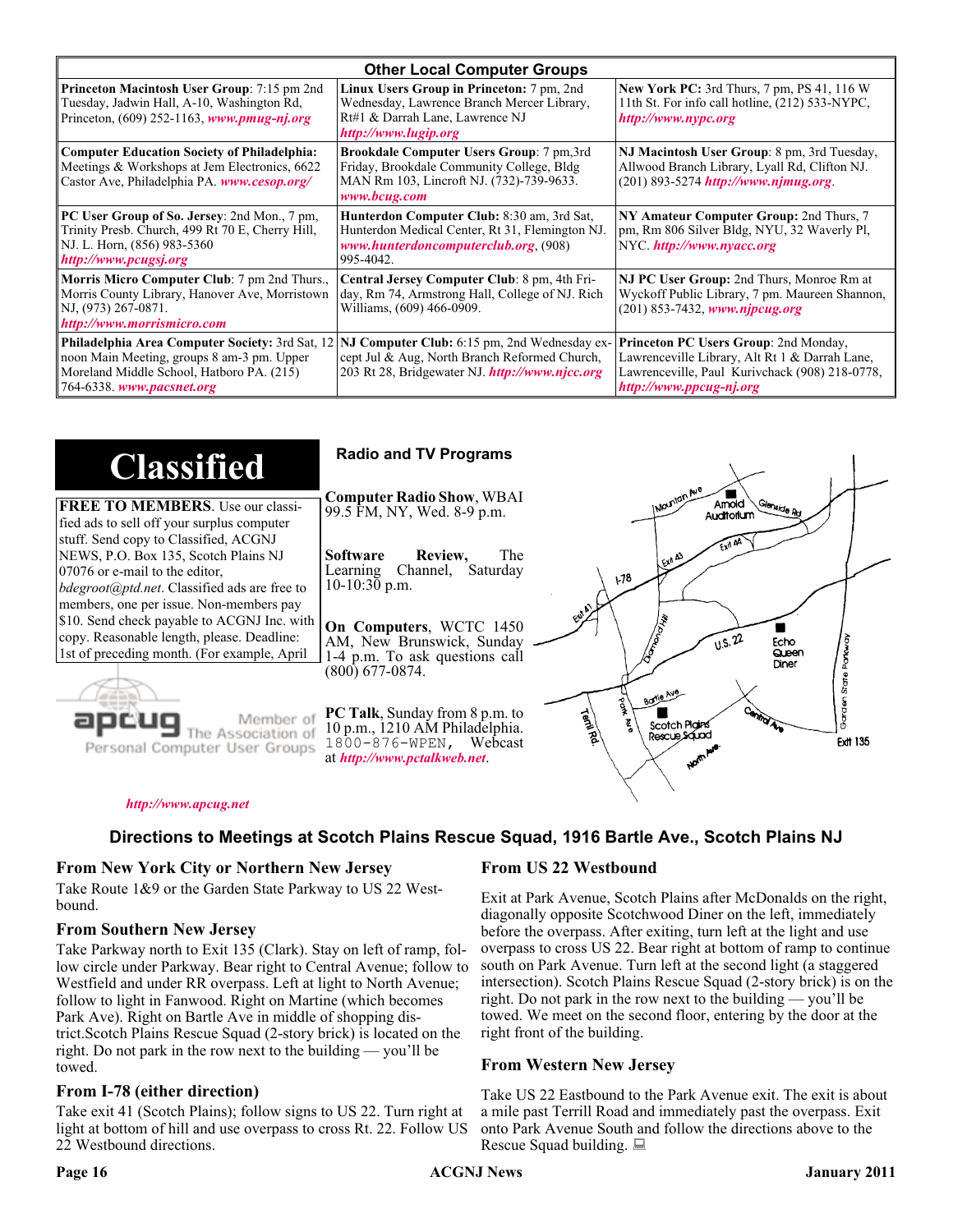| <b>Other Local Computer Groups</b>                                                                                                                                      |                                                                                                                                                           |                                                                                                                                                                      |  |
|-------------------------------------------------------------------------------------------------------------------------------------------------------------------------|-----------------------------------------------------------------------------------------------------------------------------------------------------------|----------------------------------------------------------------------------------------------------------------------------------------------------------------------|--|
| <b>Princeton Macintosh User Group:</b> 7:15 pm 2nd<br>Tuesday, Jadwin Hall, A-10, Washington Rd,<br>Princeton, $(609)$ 252-1163, www.pmug-nj.org                        | Linux Users Group in Princeton: 7 pm, 2nd<br>Wednesday, Lawrence Branch Mercer Library,<br>Rt#1 & Darrah Lane, Lawrence NJ<br>http://www.lugip.org        | <b>New York PC:</b> 3rd Thurs, 7 pm, PS 41, 116 W<br>11th St. For info call hotline, (212) 533-NYPC,<br>http://www.nypc.org                                          |  |
| <b>Computer Education Society of Philadelphia:</b><br>Meetings & Workshops at Jem Electronics, 6622<br>Castor Ave, Philadelphia PA. www.cesop.org/                      | <b>Brookdale Computer Users Group:</b> 7 pm, 3rd<br>Friday, Brookdale Community College, Bldg<br>MAN Rm 103, Lincroft NJ. (732)-739-9633.<br>www.bcug.com | NJ Macintosh User Group: 8 pm, 3rd Tuesday,<br>Allwood Branch Library, Lyall Rd, Clifton NJ.<br>$(201)$ 893-5274 http://www.njmug.org                                |  |
| PC User Group of So. Jersey: 2nd Mon., 7 pm,<br>Trinity Presb. Church, 499 Rt 70 E, Cherry Hill,<br>NJ. L. Horn, (856) 983-5360<br>http://www.pcugsj.org                | Hunterdon Computer Club: 8:30 am, 3rd Sat,<br>Hunterdon Medical Center, Rt 31, Flemington NJ.<br>www.hunterdoncomputerclub.org. (908)<br>995-4042.        | NY Amateur Computer Group: 2nd Thurs, 7<br>pm, Rm 806 Silver Bldg, NYU, 32 Waverly Pl,<br>NYC http://www.nyacc.org                                                   |  |
| <b>Morris Micro Computer Club:</b> 7 pm 2nd Thurs.,<br>Morris County Library, Hanover Ave, Morristown<br>NJ, (973) 267-0871.<br>http://www.morrismicro.com              | Central Jersey Computer Club: 8 pm, 4th Fri-<br>day, Rm 74, Armstrong Hall, College of NJ. Rich<br>Williams, (609) 466-0909.                              | NJ PC User Group: 2nd Thurs, Monroe Rm at<br>Wyckoff Public Library, 7 pm. Maureen Shannon,<br>$(201)$ 853-7432, www.njpcug.org                                      |  |
| Philadelphia Area Computer Society: 3rd Sat, 12<br>noon Main Meeting, groups 8 am-3 pm. Upper<br>Moreland Middle School, Hatboro PA. (215)<br>764-6338. www.pacsnet.org | NJ Computer Club: 6:15 pm, 2nd Wednesday ex-<br>cept Jul & Aug, North Branch Reformed Church,<br>203 Rt 28, Bridgewater NJ <i>http://www.njcc.org</i>     | Princeton PC Users Group: 2nd Monday,<br>Lawrenceville Library, Alt Rt 1 & Darrah Lane,<br>Lawrenceville, Paul Kurivchack (908) 218-0778,<br>http://www.ppcug-nj.org |  |

| <b>Classified</b>                                                                                                                                                                                                 | <b>Radio and TV Programs</b>                                                                                                                                                                                                |  |
|-------------------------------------------------------------------------------------------------------------------------------------------------------------------------------------------------------------------|-----------------------------------------------------------------------------------------------------------------------------------------------------------------------------------------------------------------------------|--|
| <b>FREE TO MEMBERS.</b> Use our classi-<br>fied ads to sell off your surplus computer                                                                                                                             | <b>Computer Radio Show, WBAI</b><br>Amold<br>Slenside Rd<br>99.5 FM, NY, Wed. 8-9 p.m.<br>Auditorium                                                                                                                        |  |
| stuff. Send copy to Classified, ACGNJ<br>NEWS, P.O. Box 135, Scotch Plains NJ<br>07076 or e-mail to the editor,<br><i>bdegroot@ptd.net.</i> Classified ads are free to<br>members, one per issue. Non-members pay | <b>Software</b><br>Review,<br>The<br>LEXA A3<br>Learning Channel, Saturday<br>78ع<br>10-10:30 p.m.                                                                                                                          |  |
| \$10. Send check payable to ACGNJ Inc. with<br>copy. Reasonable length, please. Deadline:<br>1st of preceding month. (For example, April                                                                          | On Computers, WCTC 1450<br>0.5.22<br>AM, New Brunswick, Sunday<br>Echo<br>Queen<br>1-4 p.m. To ask questions call<br>Diner<br>$(800)$ 677-0874.                                                                             |  |
| Member of<br>Personal Computer User Groups                                                                                                                                                                        | Borlo Ave<br>C.)<br><b>PC Talk, Sunday from 8 p.m. to</b><br>Term Rd<br>Scotch Plains<br>10 p.m., 1210 AM Philadelphia.<br>Rescue Sound<br><b>Ext1 135</b><br>$1800 - 876 - WPEN$ , Webcast<br>at http://www.pctalkweb.net. |  |

#### *<http://www.apcug.net>*

### **Directions to Meetings at Scotch Plains Rescue Squad, 1916 Bartle Ave., Scotch Plains NJ**

#### **From New York City or Northern New Jersey**

Take Route 1&9 or the Garden State Parkway to US 22 Westbound.

#### **From Southern New Jersey**

Take Parkway north to Exit 135 (Clark). Stay on left of ramp, follow circle under Parkway. Bear right to Central Avenue; follow to Westfield and under RR overpass. Left at light to North Avenue; follow to light in Fanwood. Right on Martine (which becomes Park Ave). Right on Bartle Ave in middle of shopping district.Scotch Plains Rescue Squad (2-story brick) is located on the right. Do not park in the row next to the building — you'll be towed.

#### **From I-78 (either direction)**

Take exit 41 (Scotch Plains); follow signs to US 22. Turn right at light at bottom of hill and use overpass to cross Rt. 22. Follow US 22 Westbound directions.

#### **From US 22 Westbound**

 $\zeta$ 

Exit at Park Avenue, Scotch Plains after McDonalds on the right, diagonally opposite Scotchwood Diner on the left, immediately before the overpass. After exiting, turn left at the light and use overpass to cross US 22. Bear right at bottom of ramp to continue south on Park Avenue. Turn left at the second light (a staggered intersection). Scotch Plains Rescue Squad (2-story brick) is on the right. Do not park in the row next to the building — you'll be towed. We meet on the second floor, entering by the door at the right front of the building.

#### **From Western New Jersey**

Take US 22 Eastbound to the Park Avenue exit. The exit is about a mile past Terrill Road and immediately past the overpass. Exit onto Park Avenue South and follow the directions above to the Rescue Squad building.